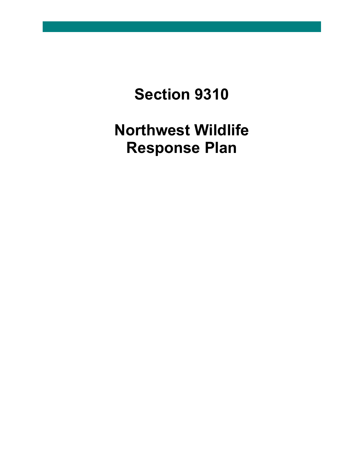# **Section 9310**

# **Northwest Wildlife Response Plan**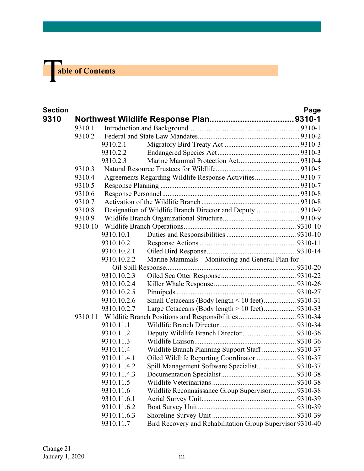

| <b>Section</b> |         |             |                                                           | Page |
|----------------|---------|-------------|-----------------------------------------------------------|------|
| 9310           |         |             |                                                           |      |
|                | 9310.1  |             |                                                           |      |
|                | 9310.2  |             |                                                           |      |
|                |         | 9310.2.1    |                                                           |      |
|                |         | 9310.2.2    |                                                           |      |
|                |         | 9310.2.3    |                                                           |      |
|                | 9310.3  |             |                                                           |      |
|                | 9310.4  |             | Agreements Regarding Wildlife Response Activities 9310-7  |      |
|                | 9310.5  |             |                                                           |      |
|                | 9310.6  |             |                                                           |      |
|                | 9310.7  |             |                                                           |      |
|                | 9310.8  |             | Designation of Wildlife Branch Director and Deputy 9310-9 |      |
|                | 9310.9  |             |                                                           |      |
|                | 9310.10 |             |                                                           |      |
|                |         | 9310.10.1   |                                                           |      |
|                |         | 9310.10.2   |                                                           |      |
|                |         | 9310.10.2.1 |                                                           |      |
|                |         | 9310.10.2.2 | Marine Mammals - Monitoring and General Plan for          |      |
|                |         |             |                                                           |      |
|                |         | 9310.10.2.3 |                                                           |      |
|                |         | 9310.10.2.4 |                                                           |      |
|                |         | 9310.10.2.5 |                                                           |      |
|                |         | 9310.10.2.6 | Small Cetaceans (Body length $\leq 10$ feet) 9310-31      |      |
|                |         | 9310.10.2.7 | Large Cetaceans (Body length > 10 feet) 9310-33           |      |
|                | 9310.11 |             |                                                           |      |
|                |         | 9310.11.1   |                                                           |      |
|                |         | 9310.11.2   |                                                           |      |
|                |         | 9310.11.3   |                                                           |      |
|                |         | 9310.11.4   | Wildlife Branch Planning Support Staff  9310-37           |      |
|                |         | 9310.11.4.1 | Oiled Wildlife Reporting Coordinator  9310-37             |      |
|                |         | 9310.11.4.2 |                                                           |      |
|                |         | 9310.11.4.3 |                                                           |      |
|                |         | 9310.11.5   |                                                           |      |
|                |         | 9310.11.6   | Wildlife Reconnaissance Group Supervisor 9310-38          |      |
|                |         | 9310.11.6.1 |                                                           |      |
|                |         | 9310.11.6.2 |                                                           |      |
|                |         | 9310.11.6.3 |                                                           |      |
|                |         | 9310.11.7   | Bird Recovery and Rehabilitation Group Supervisor 9310-40 |      |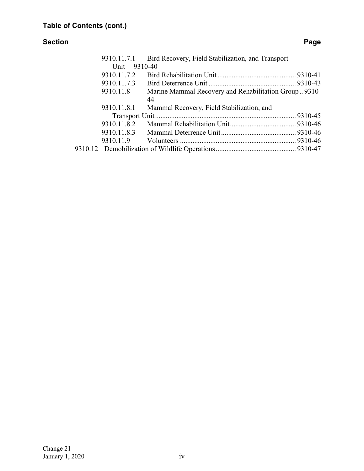#### **Section Page**

| Bird Recovery, Field Stabilization, and Transport<br>9310.11.7.1         |  |
|--------------------------------------------------------------------------|--|
| Unit 9310-40                                                             |  |
| 9310.11.7.2                                                              |  |
| 9310.11.7.3                                                              |  |
| 9310.11.8<br>Marine Mammal Recovery and Rehabilitation Group 9310-<br>44 |  |
| 9310.11.8.1<br>Mammal Recovery, Field Stabilization, and                 |  |
|                                                                          |  |
| 9310.11.8.2                                                              |  |
|                                                                          |  |
|                                                                          |  |
|                                                                          |  |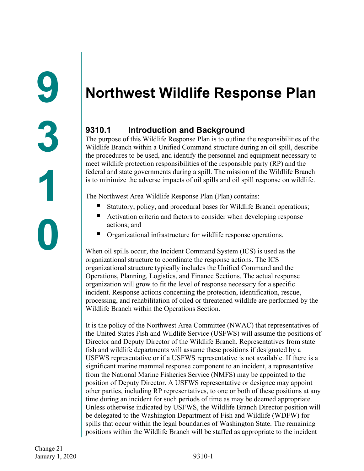# <span id="page-3-1"></span><span id="page-3-0"></span>**Northwest Wildlife Response Plan**

# <span id="page-3-2"></span>**9310.1 Introduction and Background**

The purpose of this Wildlife Response Plan is to outline the responsibilities of the Wildlife Branch within a Unified Command structure during an oil spill, describe the procedures to be used, and identify the personnel and equipment necessary to meet wildlife protection responsibilities of the responsible party (RP) and the federal and state governments during a spill. The mission of the Wildlife Branch is to minimize the adverse impacts of oil spills and oil spill response on wildlife.

The Northwest Area Wildlife Response Plan (Plan) contains:

- Statutory, policy, and procedural bases for Wildlife Branch operations;
- Activation criteria and factors to consider when developing response actions; and
- Organizational infrastructure for wildlife response operations.

When oil spills occur, the Incident Command System (ICS) is used as the organizational structure to coordinate the response actions. The ICS organizational structure typically includes the Unified Command and the Operations, Planning, Logistics, and Finance Sections. The actual response organization will grow to fit the level of response necessary for a specific incident. Response actions concerning the protection, identification, rescue, processing, and rehabilitation of oiled or threatened wildlife are performed by the Wildlife Branch within the Operations Section.

It is the policy of the Northwest Area Committee (NWAC) that representatives of the United States Fish and Wildlife Service (USFWS) will assume the positions of Director and Deputy Director of the Wildlife Branch. Representatives from state fish and wildlife departments will assume these positions if designated by a USFWS representative or if a USFWS representative is not available. If there is a significant marine mammal response component to an incident, a representative from the National Marine Fisheries Service (NMFS) may be appointed to the position of Deputy Director. A USFWS representative or designee may appoint other parties, including RP representatives, to one or both of these positions at any time during an incident for such periods of time as may be deemed appropriate. Unless otherwise indicated by USFWS, the Wildlife Branch Director position will be delegated to the Washington Department of Fish and Wildlife (WDFW) for spills that occur within the legal boundaries of Washington State. The remaining positions within the Wildlife Branch will be staffed as appropriate to the incident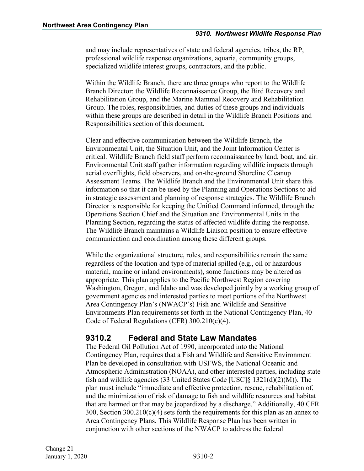and may include representatives of state and federal agencies, tribes, the RP, professional wildlife response organizations, aquaria, community groups, specialized wildlife interest groups, contractors, and the public.

Within the Wildlife Branch, there are three groups who report to the Wildlife Branch Director: the Wildlife Reconnaissance Group, the Bird Recovery and Rehabilitation Group, and the Marine Mammal Recovery and Rehabilitation Group. The roles, responsibilities, and duties of these groups and individuals within these groups are described in detail in the Wildlife Branch Positions and Responsibilities section of this document.

Clear and effective communication between the Wildlife Branch, the Environmental Unit, the Situation Unit, and the Joint Information Center is critical. Wildlife Branch field staff perform reconnaissance by land, boat, and air. Environmental Unit staff gather information regarding wildlife impacts through aerial overflights, field observers, and on-the-ground Shoreline Cleanup Assessment Teams. The Wildlife Branch and the Environmental Unit share this information so that it can be used by the Planning and Operations Sections to aid in strategic assessment and planning of response strategies. The Wildlife Branch Director is responsible for keeping the Unified Command informed, through the Operations Section Chief and the Situation and Environmental Units in the Planning Section, regarding the status of affected wildlife during the response. The Wildlife Branch maintains a Wildlife Liaison position to ensure effective communication and coordination among these different groups.

While the organizational structure, roles, and responsibilities remain the same regardless of the location and type of material spilled (e.g., oil or hazardous material, marine or inland environments), some functions may be altered as appropriate. This plan applies to the Pacific Northwest Region covering Washington, Oregon, and Idaho and was developed jointly by a working group of government agencies and interested parties to meet portions of the Northwest Area Contingency Plan's (NWACP's) Fish and Wildlife and Sensitive Environments Plan requirements set forth in the National Contingency Plan, 40 Code of Federal Regulations (CFR) 300.210(c)(4).

## <span id="page-4-0"></span>**9310.2 Federal and State Law Mandates**

The Federal Oil Pollution Act of 1990, incorporated into the National Contingency Plan, requires that a Fish and Wildlife and Sensitive Environment Plan be developed in consultation with USFWS, the National Oceanic and Atmospheric Administration (NOAA), and other interested parties, including state fish and wildlife agencies (33 United States Code [USC]§ 1321(d)(2)(M)). The plan must include "immediate and effective protection, rescue, rehabilitation of, and the minimization of risk of damage to fish and wildlife resources and habitat that are harmed or that may be jeopardized by a discharge." Additionally, 40 CFR 300, Section  $300.210(c)(4)$  sets forth the requirements for this plan as an annex to Area Contingency Plans. This Wildlife Response Plan has been written in conjunction with other sections of the NWACP to address the federal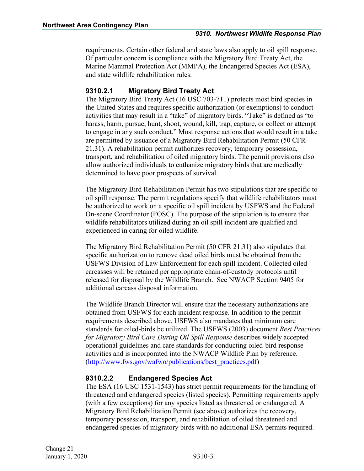requirements. Certain other federal and state laws also apply to oil spill response. Of particular concern is compliance with the Migratory Bird Treaty Act, the Marine Mammal Protection Act (MMPA), the Endangered Species Act (ESA), and state wildlife rehabilitation rules.

#### <span id="page-5-0"></span>**9310.2.1 Migratory Bird Treaty Act**

The Migratory Bird Treaty Act (16 USC 703-711) protects most bird species in the United States and requires specific authorization (or exemptions) to conduct activities that may result in a "take" of migratory birds. "Take" is defined as "to harass, harm, pursue, hunt, shoot, wound, kill, trap, capture, or collect or attempt to engage in any such conduct." Most response actions that would result in a take are permitted by issuance of a Migratory Bird Rehabilitation Permit (50 CFR 21.31). A rehabilitation permit authorizes recovery, temporary possession, transport, and rehabilitation of oiled migratory birds. The permit provisions also allow authorized individuals to euthanize migratory birds that are medically determined to have poor prospects of survival.

The Migratory Bird Rehabilitation Permit has two stipulations that are specific to oil spill response. The permit regulations specify that wildlife rehabilitators must be authorized to work on a specific oil spill incident by USFWS and the Federal On-scene Coordinator (FOSC). The purpose of the stipulation is to ensure that wildlife rehabilitators utilized during an oil spill incident are qualified and experienced in caring for oiled wildlife.

The Migratory Bird Rehabilitation Permit (50 CFR 21.31) also stipulates that specific authorization to remove dead oiled birds must be obtained from the USFWS Division of Law Enforcement for each spill incident. Collected oiled carcasses will be retained per appropriate chain-of-custody protocols until released for disposal by the Wildlife Branch. See NWACP Section 9405 for additional carcass disposal information.

The Wildlife Branch Director will ensure that the necessary authorizations are obtained from USFWS for each incident response. In addition to the permit requirements described above, USFWS also mandates that minimum care standards for oiled-birds be utilized. The USFWS (2003) document *Best Practices for Migratory Bird Care During Oil Spill Response* describes widely accepted operational guidelines and care standards for conducting oiled-bird response activities and is incorporated into the NWACP Wildlife Plan by reference. ([http://www.fws.gov/wafwo/publications/best\\_practices.pdf\)](http://www.fws.gov/wafwo/publications/best_practices.pdf)

#### <span id="page-5-1"></span>**9310.2.2 Endangered Species Act**

The ESA (16 USC 1531-1543) has strict permit requirements for the handling of threatened and endangered species (listed species). Permitting requirements apply (with a few exceptions) for any species listed as threatened or endangered. A Migratory Bird Rehabilitation Permit (see above) authorizes the recovery, temporary possession, transport, and rehabilitation of oiled threatened and endangered species of migratory birds with no additional ESA permits required.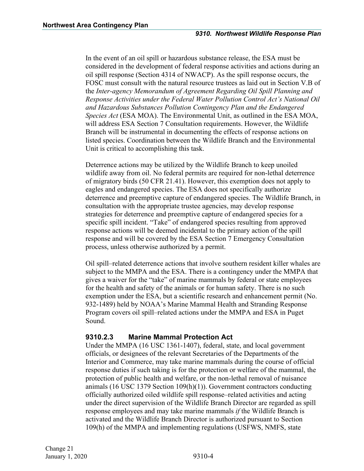In the event of an oil spill or hazardous substance release, the ESA must be considered in the development of federal response activities and actions during an oil spill response (Section 4314 of NWACP). As the spill response occurs, the FOSC must consult with the natural resource trustees as laid out in Section V.B of the *Inter-agency Memorandum of Agreement Regarding Oil Spill Planning and Response Activities under the Federal Water Pollution Control Act's National Oil and Hazardous Substances Pollution Contingency Plan and the Endangered Species Act* (ESA MOA). The Environmental Unit, as outlined in the ESA MOA, will address ESA Section 7 Consultation requirements. However, the Wildlife Branch will be instrumental in documenting the effects of response actions on listed species. Coordination between the Wildlife Branch and the Environmental Unit is critical to accomplishing this task.

Deterrence actions may be utilized by the Wildlife Branch to keep unoiled wildlife away from oil. No federal permits are required for non-lethal deterrence of migratory birds (50 CFR 21.41). However, this exemption does not apply to eagles and endangered species. The ESA does not specifically authorize deterrence and preemptive capture of endangered species. The Wildlife Branch, in consultation with the appropriate trustee agencies, may develop response strategies for deterrence and preemptive capture of endangered species for a specific spill incident. "Take" of endangered species resulting from approved response actions will be deemed incidental to the primary action of the spill response and will be covered by the ESA Section 7 Emergency Consultation process, unless otherwise authorized by a permit.

Oil spill–related deterrence actions that involve southern resident killer whales are subject to the MMPA and the ESA. There is a contingency under the MMPA that gives a waiver for the "take" of marine mammals by federal or state employees for the health and safety of the animals or for human safety. There is no such exemption under the ESA, but a scientific research and enhancement permit (No. 932-1489) held by NOAA's Marine Mammal Health and Stranding Response Program covers oil spill–related actions under the MMPA and ESA in Puget Sound.

#### <span id="page-6-0"></span>**9310.2.3 Marine Mammal Protection Act**

Under the MMPA (16 USC 1361-1407), federal, state, and local government officials, or designees of the relevant Secretaries of the Departments of the Interior and Commerce, may take marine mammals during the course of official response duties if such taking is for the protection or welfare of the mammal, the protection of public health and welfare, or the non-lethal removal of nuisance animals (16 USC 1379 Section 109(h)(1)). Government contractors conducting officially authorized oiled wildlife spill response–related activities and acting under the direct supervision of the Wildlife Branch Director are regarded as spill response employees and may take marine mammals *if* the Wildlife Branch is activated and the Wildlife Branch Director is authorized pursuant to Section 109(h) of the MMPA and implementing regulations (USFWS, NMFS, state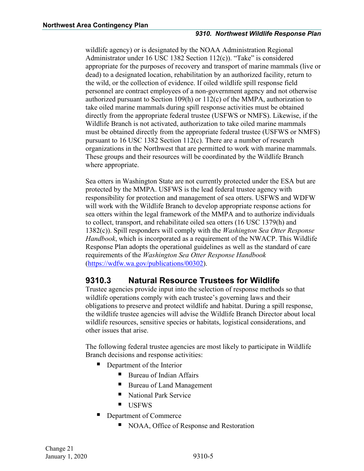wildlife agency) or is designated by the NOAA Administration Regional Administrator under 16 USC 1382 Section 112(c)). "Take" is considered appropriate for the purposes of recovery and transport of marine mammals (live or dead) to a designated location, rehabilitation by an authorized facility, return to the wild, or the collection of evidence. If oiled wildlife spill response field personnel are contract employees of a non-government agency and not otherwise authorized pursuant to Section 109(h) or  $112(c)$  of the MMPA, authorization to take oiled marine mammals during spill response activities must be obtained directly from the appropriate federal trustee (USFWS or NMFS). Likewise, if the Wildlife Branch is not activated, authorization to take oiled marine mammals must be obtained directly from the appropriate federal trustee (USFWS or NMFS) pursuant to 16 USC 1382 Section 112(c). There are a number of research organizations in the Northwest that are permitted to work with marine mammals. These groups and their resources will be coordinated by the Wildlife Branch where appropriate.

Sea otters in Washington State are not currently protected under the ESA but are protected by the MMPA. USFWS is the lead federal trustee agency with responsibility for protection and management of sea otters. USFWS and WDFW will work with the Wildlife Branch to develop appropriate response actions for sea otters within the legal framework of the MMPA and to authorize individuals to collect, transport, and rehabilitate oiled sea otters (16 USC 1379(h) and 1382(c)). Spill responders will comply with the *Washington Sea Otter Response Handbook*, which is incorporated as a requirement of the NWACP. This Wildlife Response Plan adopts the operational guidelines as well as the standard of care requirements of the *Washington Sea Otter Response Handbook* ([https://wdfw.wa.gov/publications/00302\)](https://wdfw.wa.gov/publications/00302).

# <span id="page-7-0"></span>**9310.3 Natural Resource Trustees for Wildlife**

Trustee agencies provide input into the selection of response methods so that wildlife operations comply with each trustee's governing laws and their obligations to preserve and protect wildlife and habitat. During a spill response, the wildlife trustee agencies will advise the Wildlife Branch Director about local wildlife resources, sensitive species or habitats, logistical considerations, and other issues that arise.

The following federal trustee agencies are most likely to participate in Wildlife Branch decisions and response activities:

- Department of the Interior
	- Bureau of Indian Affairs
	- Bureau of Land Management
	- National Park Service
	- **USFWS**
- Department of Commerce
	- NOAA, Office of Response and Restoration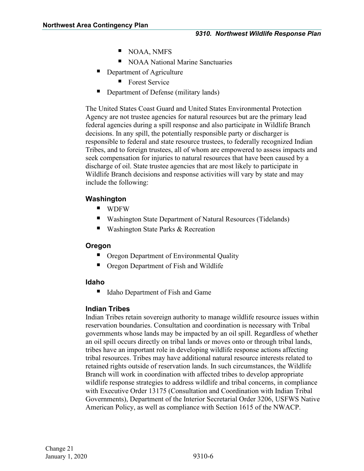- NOAA, NMFS
- NOAA National Marine Sanctuaries
- **Department of Agriculture** 
	- **Forest Service**
- Department of Defense (military lands)

The United States Coast Guard and United States Environmental Protection Agency are not trustee agencies for natural resources but are the primary lead federal agencies during a spill response and also participate in Wildlife Branch decisions. In any spill, the potentially responsible party or discharger is responsible to federal and state resource trustees, to federally recognized Indian Tribes, and to foreign trustees, all of whom are empowered to assess impacts and seek compensation for injuries to natural resources that have been caused by a discharge of oil. State trustee agencies that are most likely to participate in Wildlife Branch decisions and response activities will vary by state and may include the following:

## **Washington**

- **U** WDFW
- Washington State Department of Natural Resources (Tidelands)
- Washington State Parks & Recreation

#### **Oregon**

- Oregon Department of Environmental Quality
- Oregon Department of Fish and Wildlife

#### **Idaho**

■ Idaho Department of Fish and Game

## **Indian Tribes**

Indian Tribes retain sovereign authority to manage wildlife resource issues within reservation boundaries. Consultation and coordination is necessary with Tribal governments whose lands may be impacted by an oil spill. Regardless of whether an oil spill occurs directly on tribal lands or moves onto or through tribal lands, tribes have an important role in developing wildlife response actions affecting tribal resources. Tribes may have additional natural resource interests related to retained rights outside of reservation lands. In such circumstances, the Wildlife Branch will work in coordination with affected tribes to develop appropriate wildlife response strategies to address wildlife and tribal concerns, in compliance with Executive Order 13175 (Consultation and Coordination with Indian Tribal Governments), Department of the Interior Secretarial Order 3206, USFWS Native American Policy, as well as compliance with Section 1615 of the NWACP.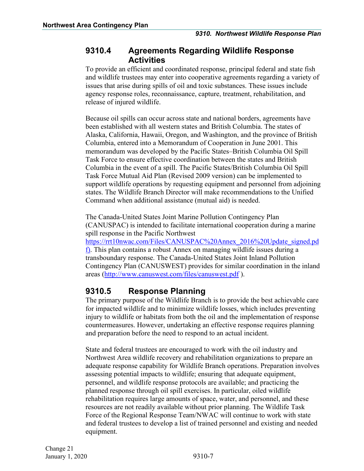## <span id="page-9-0"></span>**9310.4 Agreements Regarding Wildlife Response Activities**

To provide an efficient and coordinated response, principal federal and state fish and wildlife trustees may enter into cooperative agreements regarding a variety of issues that arise during spills of oil and toxic substances. These issues include agency response roles, reconnaissance, capture, treatment, rehabilitation, and release of injured wildlife.

Because oil spills can occur across state and national borders, agreements have been established with all western states and British Columbia. The states of Alaska, California, Hawaii, Oregon, and Washington, and the province of British Columbia, entered into a Memorandum of Cooperation in June 2001. This memorandum was developed by the Pacific States–British Columbia Oil Spill Task Force to ensure effective coordination between the states and British Columbia in the event of a spill. The Pacific States/British Columbia Oil Spill Task Force Mutual Aid Plan (Revised 2009 version) can be implemented to support wildlife operations by requesting equipment and personnel from adjoining states. The Wildlife Branch Director will make recommendations to the Unified Command when additional assistance (mutual aid) is needed.

The Canada-United States Joint Marine Pollution Contingency Plan (CANUSPAC) is intended to facilitate international cooperation during a marine spill response in the Pacific Northwest

[https://rrt10nwac.com/Files/CANUSPAC%20Annex\\_2016%20Update\\_signed.pd](https://rrt10nwac.com/Files/CANUSPAC%20Annex_2016%20Update_signed.pdf) [f](https://rrt10nwac.com/Files/CANUSPAC%20Annex_2016%20Update_signed.pdf)). This plan contains a robust Annex on managing wildlife issues during a transboundary response. The Canada-United States Joint Inland Pollution Contingency Plan (CANUSWEST) provides for similar coordination in the inland areas (<http://www.canuswest.com/files/canuswest.pdf> ).

# <span id="page-9-1"></span>**9310.5 Response Planning**

The primary purpose of the Wildlife Branch is to provide the best achievable care for impacted wildlife and to minimize wildlife losses, which includes preventing injury to wildlife or habitats from both the oil and the implementation of response countermeasures. However, undertaking an effective response requires planning and preparation before the need to respond to an actual incident.

State and federal trustees are encouraged to work with the oil industry and Northwest Area wildlife recovery and rehabilitation organizations to prepare an adequate response capability for Wildlife Branch operations. Preparation involves assessing potential impacts to wildlife; ensuring that adequate equipment, personnel, and wildlife response protocols are available; and practicing the planned response through oil spill exercises. In particular, oiled wildlife rehabilitation requires large amounts of space, water, and personnel, and these resources are not readily available without prior planning. The Wildlife Task Force of the Regional Response Team/NWAC will continue to work with state and federal trustees to develop a list of trained personnel and existing and needed equipment.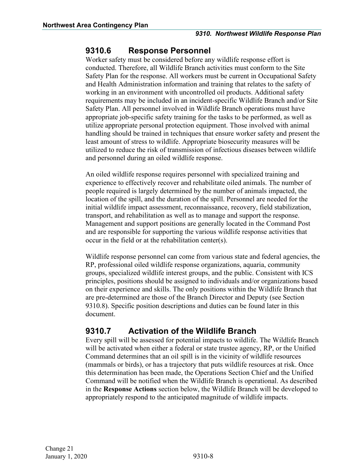## <span id="page-10-0"></span>**9310.6 Response Personnel**

Worker safety must be considered before any wildlife response effort is conducted. Therefore, all Wildlife Branch activities must conform to the Site Safety Plan for the response. All workers must be current in Occupational Safety and Health Administration information and training that relates to the safety of working in an environment with uncontrolled oil products. Additional safety requirements may be included in an incident-specific Wildlife Branch and/or Site Safety Plan. All personnel involved in Wildlife Branch operations must have appropriate job-specific safety training for the tasks to be performed, as well as utilize appropriate personal protection equipment. Those involved with animal handling should be trained in techniques that ensure worker safety and present the least amount of stress to wildlife. Appropriate biosecurity measures will be utilized to reduce the risk of transmission of infectious diseases between wildlife and personnel during an oiled wildlife response.

An oiled wildlife response requires personnel with specialized training and experience to effectively recover and rehabilitate oiled animals. The number of people required is largely determined by the number of animals impacted, the location of the spill, and the duration of the spill. Personnel are needed for the initial wildlife impact assessment, reconnaissance, recovery, field stabilization, transport, and rehabilitation as well as to manage and support the response. Management and support positions are generally located in the Command Post and are responsible for supporting the various wildlife response activities that occur in the field or at the rehabilitation center(s).

Wildlife response personnel can come from various state and federal agencies, the RP, professional oiled wildlife response organizations, aquaria, community groups, specialized wildlife interest groups, and the public. Consistent with ICS principles, positions should be assigned to individuals and/or organizations based on their experience and skills. The only positions within the Wildlife Branch that are pre-determined are those of the Branch Director and Deputy (see Section 9310.8). Specific position descriptions and duties can be found later in this document.

# <span id="page-10-1"></span>**9310.7 Activation of the Wildlife Branch**

Every spill will be assessed for potential impacts to wildlife. The Wildlife Branch will be activated when either a federal or state trustee agency, RP, or the Unified Command determines that an oil spill is in the vicinity of wildlife resources (mammals or birds), or has a trajectory that puts wildlife resources at risk. Once this determination has been made, the Operations Section Chief and the Unified Command will be notified when the Wildlife Branch is operational. As described in the **Response Actions** section below, the Wildlife Branch will be developed to appropriately respond to the anticipated magnitude of wildlife impacts.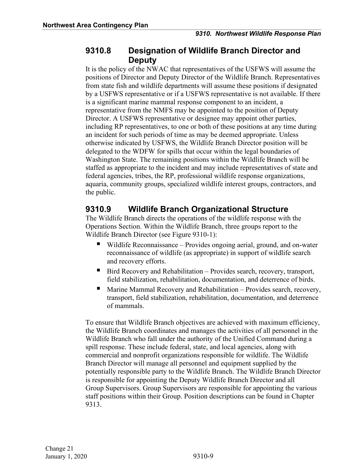## <span id="page-11-0"></span>**9310.8 Designation of Wildlife Branch Director and Deputy**

It is the policy of the NWAC that representatives of the USFWS will assume the positions of Director and Deputy Director of the Wildlife Branch. Representatives from state fish and wildlife departments will assume these positions if designated by a USFWS representative or if a USFWS representative is not available. If there is a significant marine mammal response component to an incident, a representative from the NMFS may be appointed to the position of Deputy Director. A USFWS representative or designee may appoint other parties, including RP representatives, to one or both of these positions at any time during an incident for such periods of time as may be deemed appropriate. Unless otherwise indicated by USFWS, the Wildlife Branch Director position will be delegated to the WDFW for spills that occur within the legal boundaries of Washington State. The remaining positions within the Wildlife Branch will be staffed as appropriate to the incident and may include representatives of state and federal agencies, tribes, the RP, professional wildlife response organizations, aquaria, community groups, specialized wildlife interest groups, contractors, and the public.

# <span id="page-11-1"></span>**9310.9 Wildlife Branch Organizational Structure**

The Wildlife Branch directs the operations of the wildlife response with the Operations Section. Within the Wildlife Branch, three groups report to the Wildlife Branch Director (see Figure 9310-1):

- Wildlife Reconnaissance Provides ongoing aerial, ground, and on-water reconnaissance of wildlife (as appropriate) in support of wildlife search and recovery efforts.
- Bird Recovery and Rehabilitation Provides search, recovery, transport, field stabilization, rehabilitation, documentation, and deterrence of birds.
- Marine Mammal Recovery and Rehabilitation Provides search, recovery, transport, field stabilization, rehabilitation, documentation, and deterrence of mammals.

To ensure that Wildlife Branch objectives are achieved with maximum efficiency, the Wildlife Branch coordinates and manages the activities of all personnel in the Wildlife Branch who fall under the authority of the Unified Command during a spill response. These include federal, state, and local agencies, along with commercial and nonprofit organizations responsible for wildlife. The Wildlife Branch Director will manage all personnel and equipment supplied by the potentially responsible party to the Wildlife Branch. The Wildlife Branch Director is responsible for appointing the Deputy Wildlife Branch Director and all Group Supervisors. Group Supervisors are responsible for appointing the various staff positions within their Group. Position descriptions can be found in Chapter 9313.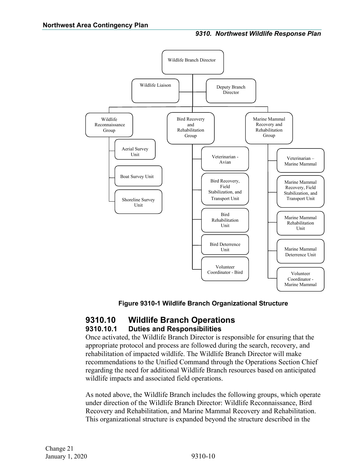

#### **Figure 9310-1 Wildlife Branch Organizational Structure**

## <span id="page-12-1"></span><span id="page-12-0"></span>**9310.10 Wildlife Branch Operations 9310.10.1 Duties and Responsibilities**

Once activated, the Wildlife Branch Director is responsible for ensuring that the appropriate protocol and process are followed during the search, recovery, and rehabilitation of impacted wildlife. The Wildlife Branch Director will make recommendations to the Unified Command through the Operations Section Chief regarding the need for additional Wildlife Branch resources based on anticipated wildlife impacts and associated field operations.

As noted above, the Wildlife Branch includes the following groups, which operate under direction of the Wildlife Branch Director: Wildlife Reconnaissance, Bird Recovery and Rehabilitation, and Marine Mammal Recovery and Rehabilitation. This organizational structure is expanded beyond the structure described in the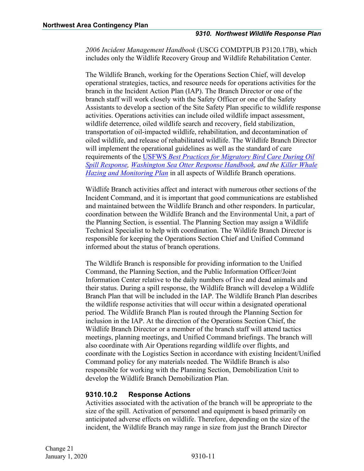*2006 Incident Management Handbook* (USCG COMDTPUB P3120.17B), which includes only the Wildlife Recovery Group and Wildlife Rehabilitation Center.

The Wildlife Branch, working for the Operations Section Chief, will develop operational strategies, tactics, and resource needs for operations activities for the branch in the Incident Action Plan (IAP). The Branch Director or one of the branch staff will work closely with the Safety Officer or one of the Safety Assistants to develop a section of the Site Safety Plan specific to wildlife response activities. Operations activities can include oiled wildlife impact assessment, wildlife deterrence, oiled wildlife search and recovery, field stabilization, transportation of oil-impacted wildlife, rehabilitation, and decontamination of oiled wildlife, and release of rehabilitated wildlife. The Wildlife Branch Director will implement the operational guidelines as well as the standard of care requirements of the USFWS *[Best Practices for Migratory Bird Care During Oil](https://www.fws.gov/wafwo/publications/best_practices.pdf)  [Spill Response,](https://www.fws.gov/wafwo/publications/best_practices.pdf) [Washington Sea Otter Response Handbook,](http://wdfw.wa.gov/publications/pub.php?id=00302) and the [Killer Whale](http://www.westcoast.fisheries.noaa.gov/publications/protected_species/marine_mammals/killer_whales/recovery/oil-spill-draft.pdf)  [Hazing and Monitoring Plan](http://www.westcoast.fisheries.noaa.gov/publications/protected_species/marine_mammals/killer_whales/recovery/oil-spill-draft.pdf)* in all aspects of Wildlife Branch operations.

Wildlife Branch activities affect and interact with numerous other sections of the Incident Command, and it is important that good communications are established and maintained between the Wildlife Branch and other responders. In particular, coordination between the Wildlife Branch and the Environmental Unit, a part of the Planning Section, is essential. The Planning Section may assign a Wildlife Technical Specialist to help with coordination. The Wildlife Branch Director is responsible for keeping the Operations Section Chief and Unified Command informed about the status of branch operations.

The Wildlife Branch is responsible for providing information to the Unified Command, the Planning Section, and the Public Information Officer/Joint Information Center relative to the daily numbers of live and dead animals and their status. During a spill response, the Wildlife Branch will develop a Wildlife Branch Plan that will be included in the IAP. The Wildlife Branch Plan describes the wildlife response activities that will occur within a designated operational period. The Wildlife Branch Plan is routed through the Planning Section for inclusion in the IAP. At the direction of the Operations Section Chief, the Wildlife Branch Director or a member of the branch staff will attend tactics meetings, planning meetings, and Unified Command briefings. The branch will also coordinate with Air Operations regarding wildlife over flights, and coordinate with the Logistics Section in accordance with existing Incident/Unified Command policy for any materials needed. The Wildlife Branch is also responsible for working with the Planning Section, Demobilization Unit to develop the Wildlife Branch Demobilization Plan.

#### <span id="page-13-0"></span>**9310.10.2 Response Actions**

Activities associated with the activation of the branch will be appropriate to the size of the spill. Activation of personnel and equipment is based primarily on anticipated adverse effects on wildlife. Therefore, depending on the size of the incident, the Wildlife Branch may range in size from just the Branch Director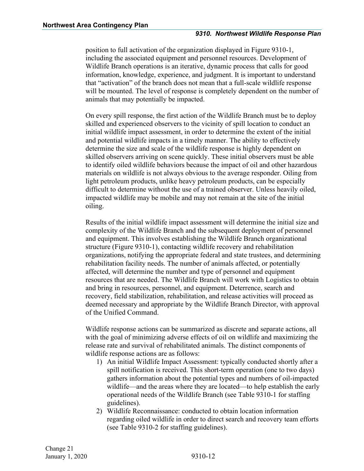position to full activation of the organization displayed in Figure 9310-1, including the associated equipment and personnel resources. Development of Wildlife Branch operations is an iterative, dynamic process that calls for good information, knowledge, experience, and judgment. It is important to understand that "activation" of the branch does not mean that a full-scale wildlife response will be mounted. The level of response is completely dependent on the number of animals that may potentially be impacted.

On every spill response, the first action of the Wildlife Branch must be to deploy skilled and experienced observers to the vicinity of spill location to conduct an initial wildlife impact assessment, in order to determine the extent of the initial and potential wildlife impacts in a timely manner. The ability to effectively determine the size and scale of the wildlife response is highly dependent on skilled observers arriving on scene quickly. These initial observers must be able to identify oiled wildlife behaviors because the impact of oil and other hazardous materials on wildlife is not always obvious to the average responder. Oiling from light petroleum products, unlike heavy petroleum products, can be especially difficult to determine without the use of a trained observer. Unless heavily oiled, impacted wildlife may be mobile and may not remain at the site of the initial oiling.

Results of the initial wildlife impact assessment will determine the initial size and complexity of the Wildlife Branch and the subsequent deployment of personnel and equipment. This involves establishing the Wildlife Branch organizational structure (Figure 9310-1), contacting wildlife recovery and rehabilitation organizations, notifying the appropriate federal and state trustees, and determining rehabilitation facility needs. The number of animals affected, or potentially affected, will determine the number and type of personnel and equipment resources that are needed. The Wildlife Branch will work with Logistics to obtain and bring in resources, personnel, and equipment. Deterrence, search and recovery, field stabilization, rehabilitation, and release activities will proceed as deemed necessary and appropriate by the Wildlife Branch Director, with approval of the Unified Command.

Wildlife response actions can be summarized as discrete and separate actions, all with the goal of minimizing adverse effects of oil on wildlife and maximizing the release rate and survival of rehabilitated animals. The distinct components of wildlife response actions are as follows:

- 1) An initial Wildlife Impact Assessment: typically conducted shortly after a spill notification is received. This short-term operation (one to two days) gathers information about the potential types and numbers of oil-impacted wildlife—and the areas where they are located—to help establish the early operational needs of the Wildlife Branch (see Table 9310-1 for staffing guidelines).
- 2) Wildlife Reconnaissance: conducted to obtain location information regarding oiled wildlife in order to direct search and recovery team efforts (see Table 9310-2 for staffing guidelines).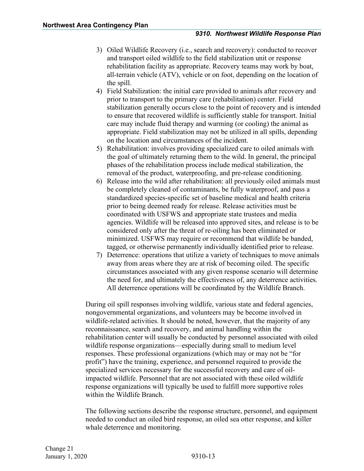- 3) Oiled Wildlife Recovery (i.e., search and recovery): conducted to recover and transport oiled wildlife to the field stabilization unit or response rehabilitation facility as appropriate. Recovery teams may work by boat, all-terrain vehicle (ATV), vehicle or on foot, depending on the location of the spill.
- 4) Field Stabilization: the initial care provided to animals after recovery and prior to transport to the primary care (rehabilitation) center. Field stabilization generally occurs close to the point of recovery and is intended to ensure that recovered wildlife is sufficiently stable for transport. Initial care may include fluid therapy and warming (or cooling) the animal as appropriate. Field stabilization may not be utilized in all spills, depending on the location and circumstances of the incident.
- 5) Rehabilitation: involves providing specialized care to oiled animals with the goal of ultimately returning them to the wild. In general, the principal phases of the rehabilitation process include medical stabilization, the removal of the product, waterproofing, and pre-release conditioning.
- 6) Release into the wild after rehabilitation: all previously oiled animals must be completely cleaned of contaminants, be fully waterproof, and pass a standardized species-specific set of baseline medical and health criteria prior to being deemed ready for release. Release activities must be coordinated with USFWS and appropriate state trustees and media agencies. Wildlife will be released into approved sites, and release is to be considered only after the threat of re-oiling has been eliminated or minimized. USFWS may require or recommend that wildlife be banded, tagged, or otherwise permanently individually identified prior to release.
- 7) Deterrence: operations that utilize a variety of techniques to move animals away from areas where they are at risk of becoming oiled. The specific circumstances associated with any given response scenario will determine the need for, and ultimately the effectiveness of, any deterrence activities. All deterrence operations will be coordinated by the Wildlife Branch.

During oil spill responses involving wildlife, various state and federal agencies, nongovernmental organizations, and volunteers may be become involved in wildlife-related activities. It should be noted, however, that the majority of any reconnaissance, search and recovery, and animal handling within the rehabilitation center will usually be conducted by personnel associated with oiled wildlife response organizations—especially during small to medium level responses. These professional organizations (which may or may not be "for profit") have the training, experience, and personnel required to provide the specialized services necessary for the successful recovery and care of oilimpacted wildlife. Personnel that are not associated with these oiled wildlife response organizations will typically be used to fulfill more supportive roles within the Wildlife Branch.

The following sections describe the response structure, personnel, and equipment needed to conduct an oiled bird response, an oiled sea otter response, and killer whale deterrence and monitoring.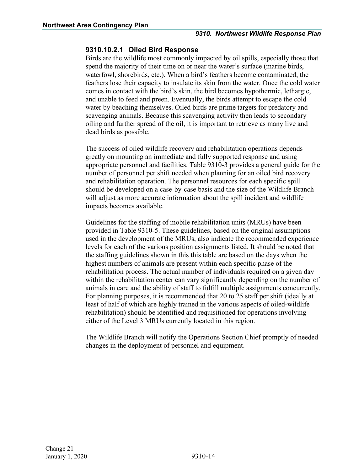#### <span id="page-16-0"></span>**9310.10.2.1 Oiled Bird Response**

Birds are the wildlife most commonly impacted by oil spills, especially those that spend the majority of their time on or near the water's surface (marine birds, waterfowl, shorebirds, etc.). When a bird's feathers become contaminated, the feathers lose their capacity to insulate its skin from the water. Once the cold water comes in contact with the bird's skin, the bird becomes hypothermic, lethargic, and unable to feed and preen. Eventually, the birds attempt to escape the cold water by beaching themselves. Oiled birds are prime targets for predatory and scavenging animals. Because this scavenging activity then leads to secondary oiling and further spread of the oil, it is important to retrieve as many live and dead birds as possible.

The success of oiled wildlife recovery and rehabilitation operations depends greatly on mounting an immediate and fully supported response and using appropriate personnel and facilities. Table 9310-3 provides a general guide for the number of personnel per shift needed when planning for an oiled bird recovery and rehabilitation operation. The personnel resources for each specific spill should be developed on a case-by-case basis and the size of the Wildlife Branch will adjust as more accurate information about the spill incident and wildlife impacts becomes available.

Guidelines for the staffing of mobile rehabilitation units (MRUs) have been provided in Table 9310-5. These guidelines, based on the original assumptions used in the development of the MRUs, also indicate the recommended experience levels for each of the various position assignments listed. It should be noted that the staffing guidelines shown in this this table are based on the days when the highest numbers of animals are present within each specific phase of the rehabilitation process. The actual number of individuals required on a given day within the rehabilitation center can vary significantly depending on the number of animals in care and the ability of staff to fulfill multiple assignments concurrently. For planning purposes, it is recommended that 20 to 25 staff per shift (ideally at least of half of which are highly trained in the various aspects of oiled-wildlife rehabilitation) should be identified and requisitioned for operations involving either of the Level 3 MRUs currently located in this region.

The Wildlife Branch will notify the Operations Section Chief promptly of needed changes in the deployment of personnel and equipment.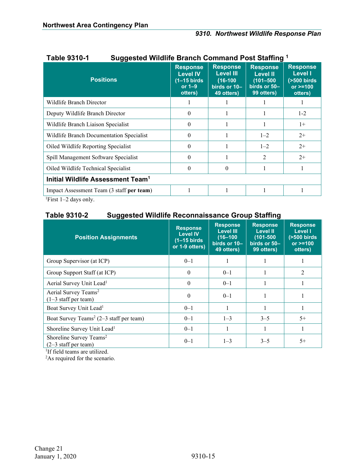| ו -טו טט סוטוח<br><u>Juggested Wildhie Drahch Command Fost Jiannig</u> |                                                                            |                                                                                 |                                                                                   |                                                                                |
|------------------------------------------------------------------------|----------------------------------------------------------------------------|---------------------------------------------------------------------------------|-----------------------------------------------------------------------------------|--------------------------------------------------------------------------------|
| <b>Positions</b>                                                       | <b>Response</b><br><b>Level IV</b><br>$(1-15$ birds<br>or $1-9$<br>otters) | <b>Response</b><br><b>Level III</b><br>$(16-100)$<br>birds or 10-<br>49 otters) | <b>Response</b><br><b>Level II</b><br>$(101 - 500)$<br>birds or 50-<br>99 otters) | <b>Response</b><br><b>Level I</b><br>$($ >500 birds<br>$or > = 100$<br>otters) |
| Wildlife Branch Director                                               |                                                                            |                                                                                 |                                                                                   |                                                                                |
| Deputy Wildlife Branch Director                                        | $\theta$                                                                   |                                                                                 |                                                                                   | $1 - 2$                                                                        |
| Wildlife Branch Liaison Specialist                                     | $\Omega$                                                                   |                                                                                 |                                                                                   | $1+$                                                                           |
| Wildlife Branch Documentation Specialist                               | $\Omega$                                                                   |                                                                                 | $1 - 2$                                                                           | $2+$                                                                           |
| Oiled Wildlife Reporting Specialist                                    | $\Omega$                                                                   |                                                                                 | $1 - 2$                                                                           | $2+$                                                                           |
| Spill Management Software Specialist                                   | $\Omega$                                                                   |                                                                                 | $\mathfrak{D}$                                                                    | $2+$                                                                           |
| Oiled Wildlife Technical Specialist                                    | $\Omega$                                                                   | 0                                                                               |                                                                                   |                                                                                |
| Initial Wildlife Assessment Team <sup>1</sup>                          |                                                                            |                                                                                 |                                                                                   |                                                                                |
| Impact Assessment Team (3 staff per team)                              |                                                                            |                                                                                 |                                                                                   |                                                                                |
|                                                                        |                                                                            |                                                                                 |                                                                                   |                                                                                |

#### **Table 9310-1 Suggested Wildlife Branch Command Post Staffing <sup>1</sup>**

1 First 1–2 days only.

### **Table 9310-2 Suggested Wildlife Reconnaissance Group Staffing**

| <b>Position Assignments</b>                                   | <b>Response</b><br><b>Level IV</b><br>$(1-15 \text{ birds})$<br>or 1-9 otters) | <b>Response</b><br><b>Level III</b><br>$(16 - 100)$<br>birds or 10-<br>49 otters) | <b>Response</b><br><b>Level II</b><br>$(101 - 500)$<br>birds or 50-<br>99 otters) | <b>Response</b><br><b>Level I</b><br>$(500 \text{ birds})$<br>$or > = 100$<br>otters) |
|---------------------------------------------------------------|--------------------------------------------------------------------------------|-----------------------------------------------------------------------------------|-----------------------------------------------------------------------------------|---------------------------------------------------------------------------------------|
| Group Supervisor (at ICP)                                     | $0 - 1$                                                                        |                                                                                   |                                                                                   |                                                                                       |
| Group Support Staff (at ICP)                                  | 0                                                                              | $0 - 1$                                                                           |                                                                                   | $\mathfrak{D}$                                                                        |
| Aerial Survey Unit Lead <sup>1</sup>                          | 0                                                                              | $0 - 1$                                                                           |                                                                                   |                                                                                       |
| Aerial Survey Teams <sup>2</sup><br>$(1-3$ staff per team)    | $\Omega$                                                                       | $0 - 1$                                                                           |                                                                                   |                                                                                       |
| Boat Survey Unit Lead <sup>1</sup>                            | $0 - 1$                                                                        |                                                                                   |                                                                                   |                                                                                       |
| Boat Survey Teams <sup>2</sup> (2–3 staff per team)           | $0 - 1$                                                                        | $1 - 3$                                                                           | $3 - 5$                                                                           | $5+$                                                                                  |
| Shoreline Survey Unit Lead <sup>1</sup>                       | $0 - 1$                                                                        |                                                                                   |                                                                                   |                                                                                       |
| Shoreline Survey Teams <sup>2</sup><br>$(2-3$ staff per team) | $0 - 1$                                                                        | $1 - 3$                                                                           | $3 - 5$                                                                           | $5+$                                                                                  |

<sup>1</sup>If field teams are utilized.

<sup>2</sup>As required for the scenario.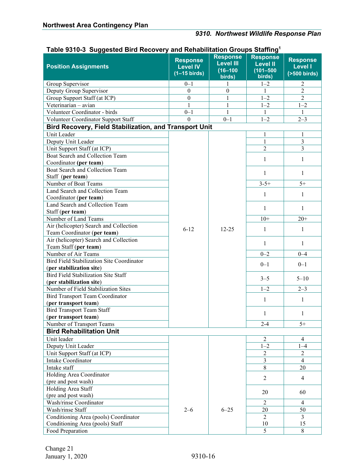# *9310. Northwest Wildlife Response Plan*

| rasio oo ro o oaggootoa Dira riocovory<br><b>Position Assignments</b> | <b>Response</b><br><b>Level IV</b><br>$(1-15 \text{ birds})$ | <b>Response</b><br><b>Level III</b><br>$(16 - 100)$<br>birds) | יטוו שוטטאט טעוויי<br><b>Response</b><br><b>Level II</b><br>$(101 - 500)$<br>birds) | <b>Response</b><br><b>Level I</b><br>$(500 \text{ birds})$ |
|-----------------------------------------------------------------------|--------------------------------------------------------------|---------------------------------------------------------------|-------------------------------------------------------------------------------------|------------------------------------------------------------|
| Group Supervisor                                                      | $0 - 1$                                                      |                                                               | $1 - 2$                                                                             | 2                                                          |
| Deputy Group Supervisor                                               | $\boldsymbol{0}$                                             | $\boldsymbol{0}$                                              | 1                                                                                   | $\overline{2}$                                             |
| Group Support Staff (at ICP)                                          | $\boldsymbol{0}$                                             | $\mathbf{1}$                                                  | $1 - 2$                                                                             | $\overline{2}$                                             |
| Veterinarian - avian                                                  | 1                                                            | $\mathbf{1}$                                                  | $1 - 2$                                                                             | $1 - 2$                                                    |
| Volunteer Coordinator - birds                                         | $0 - 1$                                                      | $\mathbf{1}$                                                  | 1                                                                                   | 1                                                          |
| Volunteer Coordinator Support Staff                                   | $\mathbf{0}$                                                 | $0 - 1$                                                       | $1 - 2$                                                                             | $2 - 3$                                                    |
| Bird Recovery, Field Stabilization, and Transport Unit                |                                                              |                                                               |                                                                                     |                                                            |
| Unit Leader                                                           |                                                              |                                                               | 1                                                                                   | 1                                                          |
| Deputy Unit Leader                                                    |                                                              |                                                               | $\mathbf{1}$                                                                        | 3                                                          |
| Unit Support Staff (at ICP)                                           |                                                              |                                                               | $\overline{2}$                                                                      | $\overline{3}$                                             |
| Boat Search and Collection Team                                       |                                                              |                                                               |                                                                                     |                                                            |
| Coordinator (per team)                                                |                                                              |                                                               | $\mathbf{1}$                                                                        | 1                                                          |
| Boat Search and Collection Team                                       |                                                              |                                                               |                                                                                     |                                                            |
| Staff (per team)                                                      |                                                              |                                                               | $\mathbf{1}$                                                                        | $\mathbf{1}$                                               |
| Number of Boat Teams                                                  |                                                              |                                                               | $3 - 5 +$                                                                           | $5+$                                                       |
| Land Search and Collection Team                                       |                                                              |                                                               |                                                                                     |                                                            |
| Coordinator (per team)                                                |                                                              |                                                               | $\mathbf{1}$                                                                        | 1                                                          |
| Land Search and Collection Team                                       |                                                              |                                                               |                                                                                     |                                                            |
| Staff (per team)                                                      |                                                              |                                                               | 1                                                                                   | 1                                                          |
| Number of Land Teams                                                  |                                                              |                                                               | $10+$                                                                               | $20+$                                                      |
| Air (helicopter) Search and Collection                                | $6 - 12$                                                     | $12 - 25$                                                     | $\mathbf{1}$                                                                        | 1                                                          |
| Team Coordinator (per team)                                           |                                                              |                                                               |                                                                                     |                                                            |
| Air (helicopter) Search and Collection                                |                                                              |                                                               | $\mathbf{1}$                                                                        | $\mathbf{1}$                                               |
| Team Staff (per team)<br>Number of Air Teams                          |                                                              |                                                               | $0 - 2$                                                                             | $0 - 4$                                                    |
| Bird Field Stabilization Site Coordinator                             |                                                              |                                                               |                                                                                     |                                                            |
| (per stabilization site)                                              |                                                              |                                                               | $0 - 1$                                                                             | $0 - 1$                                                    |
| Bird Field Stabilization Site Staff                                   |                                                              |                                                               |                                                                                     |                                                            |
| (per stabilization site)                                              |                                                              |                                                               | $3 - 5$                                                                             | $5 - 10$                                                   |
| Number of Field Stabilization Sites                                   |                                                              |                                                               | $1 - 2$                                                                             | $2 - 3$                                                    |
| Bird Transport Team Coordinator                                       |                                                              |                                                               |                                                                                     |                                                            |
| (per transport team)                                                  |                                                              |                                                               | $\mathbf{1}$                                                                        | 1                                                          |
| <b>Bird Transport Team Staff</b>                                      |                                                              |                                                               |                                                                                     |                                                            |
| (per transport team)                                                  |                                                              |                                                               | 1                                                                                   | 1                                                          |
| Number of Transport Teams                                             |                                                              |                                                               | $2 - 4$                                                                             | $5+$                                                       |
| <b>Bird Rehabilitation Unit</b>                                       |                                                              |                                                               |                                                                                     |                                                            |
| Unit leader                                                           |                                                              |                                                               | $\overline{2}$                                                                      | $\overline{4}$                                             |
| Deputy Unit Leader                                                    |                                                              |                                                               | $1 - 2$                                                                             | $1 - 4$                                                    |
| Unit Support Staff (at ICP)                                           |                                                              |                                                               | $\sqrt{2}$                                                                          | $\overline{c}$                                             |
| Intake Coordinator                                                    |                                                              |                                                               | $\overline{3}$                                                                      | $\overline{4}$                                             |
| Intake staff                                                          |                                                              |                                                               | 8                                                                                   | 20                                                         |
| Holding Area Coordinator                                              |                                                              |                                                               |                                                                                     |                                                            |
| (pre and post wash)                                                   |                                                              |                                                               | $\overline{2}$                                                                      | $\overline{4}$                                             |
| Holding Area Staff                                                    |                                                              |                                                               |                                                                                     |                                                            |
| (pre and post wash)                                                   |                                                              |                                                               | 20                                                                                  | 60                                                         |
| Wash/rinse Coordinator                                                |                                                              |                                                               | 2                                                                                   | 4                                                          |
| Wash/rinse Staff                                                      | $2 - 6$                                                      | $6 - 25$                                                      | 20                                                                                  | 50                                                         |
| Conditioning Area (pools) Coordinator                                 |                                                              |                                                               | 2                                                                                   | 3                                                          |
| Conditioning Area (pools) Staff                                       |                                                              |                                                               | 10                                                                                  | 15                                                         |
| Food Preparation                                                      |                                                              |                                                               | 5                                                                                   | 8                                                          |

#### **Table 9310-3 Suggested Bird Recovery and Rehabilitation Groups Staffing1**

Change 21 January 1, 2020 9310-16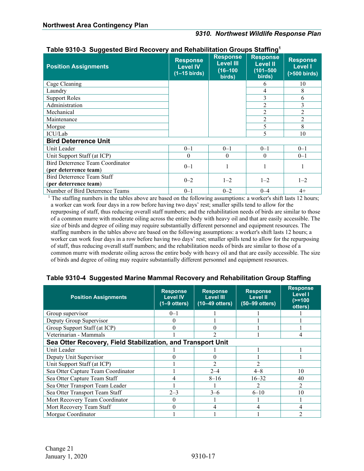#### *9310. Northwest Wildlife Response Plan*

| <b>Position Assignments</b>      | <b>Response</b><br><b>Level IV</b><br>$(1-15 \text{ birds})$ | <b>Response</b><br><b>Level III</b><br>$(16 - 100)$<br>birds) | <b>Response</b><br><b>Level II</b><br>$(101 - 500)$<br>birds) | <b>Response</b><br><b>Level I</b><br>$(500 \text{ birds})$ |
|----------------------------------|--------------------------------------------------------------|---------------------------------------------------------------|---------------------------------------------------------------|------------------------------------------------------------|
| Cage Cleaning                    |                                                              |                                                               | 6                                                             | 10                                                         |
| Laundry                          |                                                              |                                                               | 4                                                             | 8                                                          |
| <b>Support Roles</b>             |                                                              |                                                               | 3                                                             | 6                                                          |
| Administration                   |                                                              |                                                               | $\mathfrak{D}$                                                | 3                                                          |
| Mechanical                       |                                                              |                                                               | $\mathfrak{D}$                                                | 2                                                          |
| Maintenance                      |                                                              |                                                               | $\overline{2}$                                                | $\overline{2}$                                             |
| Morgue                           |                                                              |                                                               | 5                                                             | 8                                                          |
| ICU/Lab                          |                                                              |                                                               | 5                                                             | 10                                                         |
| <b>Bird Deterrence Unit</b>      |                                                              |                                                               |                                                               |                                                            |
| Unit Leader                      | $0 - 1$                                                      | $0 - 1$                                                       | $0 - 1$                                                       | $0 - 1$                                                    |
| Unit Support Staff (at ICP)      | $\Omega$                                                     | $\Omega$                                                      | $\Omega$                                                      | $0 - 1$                                                    |
| Bird Deterrence Team Coordinator | $0 - 1$                                                      |                                                               |                                                               |                                                            |
| (per deterrence team)            |                                                              |                                                               |                                                               |                                                            |
| Bird Deterrence Team Staff       | $0 - 2$                                                      | $1 - 2$                                                       | $1 - 2$                                                       | $1 - 2$                                                    |
| (per deterrence team)            |                                                              |                                                               |                                                               |                                                            |
| Number of Bird Deterrence Teams  | $0 - 1$                                                      | $0 - 2$                                                       | $0 - 4$                                                       | $4+$                                                       |

#### **Table 9310-3 Suggested Bird Recovery and Rehabilitation Groups Staffing1**

<sup>1</sup> The staffing numbers in the tables above are based on the following assumptions: a worker's shift lasts 12 hours; a worker can work four days in a row before having two days' rest; smaller spills tend to allow for the repurposing of staff, thus reducing overall staff numbers; and the rehabilitation needs of birds are similar to those of a common murre with moderate oiling across the entire body with heavy oil and that are easily accessible. The size of birds and degree of oiling may require substantially different personnel and equipment resources. The staffing numbers in the tables above are based on the following assumptions: a worker's shift lasts 12 hours; a worker can work four days in a row before having two days' rest; smaller spills tend to allow for the repurposing of staff, thus reducing overall staff numbers; and the rehabilitation needs of birds are similar to those of a common murre with moderate oiling across the entire body with heavy oil and that are easily accessible. The size of birds and degree of oiling may require substantially different personnel and equipment resources.

#### **Table 9310-4 Suggested Marine Mammal Recovery and Rehabilitation Group Staffing**

| <b>Position Assignments</b>                                 | <b>Response</b><br><b>Level IV</b><br>$(1-9 \text{ others})$ | <b>Response</b><br><b>Level III</b><br>$(10-49$ otters) | <b>Response</b><br><b>Level II</b><br>(50-99 otters) | <b>Response</b><br><b>Level I</b><br>$(>=100$<br>otters) |  |
|-------------------------------------------------------------|--------------------------------------------------------------|---------------------------------------------------------|------------------------------------------------------|----------------------------------------------------------|--|
| Group supervisor                                            | $0 - 1$                                                      |                                                         |                                                      |                                                          |  |
| Deputy Group Supervisor                                     | 0                                                            |                                                         |                                                      |                                                          |  |
| Group Support Staff (at ICP)                                | 0                                                            | 0                                                       |                                                      |                                                          |  |
| Veterinarian - Mammals                                      |                                                              | າ                                                       |                                                      |                                                          |  |
| Sea Otter Recovery, Field Stabilization, and Transport Unit |                                                              |                                                         |                                                      |                                                          |  |
| Unit Leader                                                 |                                                              |                                                         |                                                      |                                                          |  |
| Deputy Unit Supervisor                                      |                                                              | 0                                                       |                                                      |                                                          |  |
| Unit Support Staff (at ICP)                                 |                                                              | $\mathfrak{D}$                                          |                                                      |                                                          |  |
| Sea Otter Capture Team Coordinator                          |                                                              | $2 - 4$                                                 | $4 - 8$                                              | 10                                                       |  |
| Sea Otter Capture Team Staff                                |                                                              | $8 - 16$                                                | $16 - 32$                                            | 40                                                       |  |
| Sea Otter Transport Team Leader                             |                                                              |                                                         |                                                      |                                                          |  |
| Sea Otter Transport Team Staff                              | $2 - 3$                                                      | $3-6$                                                   | $6 - 10$                                             | 10                                                       |  |
| Mort Recovery Team Coordinator                              |                                                              |                                                         |                                                      |                                                          |  |
| Mort Recovery Team Staff                                    |                                                              | 4                                                       |                                                      |                                                          |  |
| Morgue Coordinator                                          |                                                              |                                                         |                                                      |                                                          |  |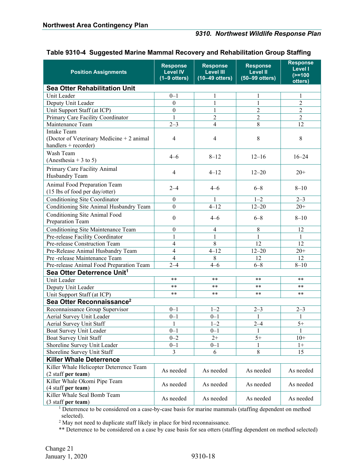| <b>Position Assignments</b>                                                        | <b>Response</b><br><b>Level IV</b><br>$(1-9$ otters) | <b>Response</b><br><b>Level III</b><br>$(10-49$ otters) | <b>Response</b><br><b>Level II</b><br>$(50-99$ otters) | <b>Response</b><br><b>Level I</b><br>$(>=100$<br>otters) |  |
|------------------------------------------------------------------------------------|------------------------------------------------------|---------------------------------------------------------|--------------------------------------------------------|----------------------------------------------------------|--|
| <b>Sea Otter Rehabilitation Unit</b>                                               |                                                      |                                                         |                                                        |                                                          |  |
| Unit Leader                                                                        | $0 - 1$                                              | 1                                                       |                                                        | 1                                                        |  |
| Deputy Unit Leader                                                                 | $\boldsymbol{0}$                                     | 1                                                       | 1                                                      | $\overline{c}$                                           |  |
| Unit Support Staff (at ICP)                                                        | $\boldsymbol{0}$                                     | 1                                                       | $\overline{2}$                                         | $\overline{2}$                                           |  |
| Primary Care Facility Coordinator                                                  | 1                                                    | $\overline{2}$                                          | $\overline{2}$                                         | $\overline{2}$                                           |  |
| Maintenance Team                                                                   | $2 - 3$                                              | $\overline{4}$                                          | $8\,$                                                  | 12                                                       |  |
| Intake Team<br>(Doctor of Veterinary Medicine + 2 animal<br>handlers $+$ recorder) | $\overline{4}$                                       | $\overline{4}$                                          | 8                                                      | $8\,$                                                    |  |
| Wash Team<br>(Anesthesia + 3 to 5)                                                 | $4 - 6$                                              | $8 - 12$                                                | $12 - 16$                                              | $16 - 24$                                                |  |
| Primary Care Facility Animal<br>Husbandry Team                                     | 4                                                    | $4 - 12$                                                | $12 - 20$                                              | $20+$                                                    |  |
| Animal Food Preparation Team<br>(15 lbs of food per day/otter)                     | $2 - 4$                                              | $4 - 6$                                                 | $6 - 8$                                                | $8 - 10$                                                 |  |
| Conditioning Site Coordinator                                                      | $\boldsymbol{0}$                                     | 1                                                       | $1 - 2$                                                | $2 - 3$                                                  |  |
| Conditioning Site Animal Husbandry Team                                            | $\boldsymbol{0}$                                     | $4 - 12$                                                | $12 - 20$                                              | $20+$                                                    |  |
| Conditioning Site Animal Food<br>Preparation Team                                  | $\boldsymbol{0}$                                     | $4 - 6$                                                 | $6 - 8$                                                | $8 - 10$                                                 |  |
| Conditioning Site Maintenance Team                                                 | $\boldsymbol{0}$                                     | $\overline{4}$                                          | $\,$ 8 $\,$                                            | 12                                                       |  |
| Pre-release Facility Coordinator                                                   | 1                                                    | 1                                                       | 1                                                      | 1                                                        |  |
| Pre-release Construction Team                                                      | $\overline{4}$                                       | 8                                                       | $\overline{12}$                                        | 12                                                       |  |
| Pre-Release Animal Husbandry Team                                                  | $\overline{\mathcal{L}}$                             | $4 - 12$                                                | $12 - 20$                                              | $20+$                                                    |  |
| Pre-release Maintenance Team                                                       | $\overline{4}$                                       | 8                                                       | 12                                                     | 12                                                       |  |
| Pre-release Animal Food Preparation Team                                           | $2 - 4$                                              | $4 - 6$                                                 | $6 - 8$                                                | $8 - 10$                                                 |  |
| Sea Otter Deterrence Unit <sup>1</sup>                                             |                                                      |                                                         |                                                        |                                                          |  |
| Unit Leader                                                                        | **                                                   | $***$                                                   | **                                                     | $***$                                                    |  |
| Deputy Unit Leader                                                                 | **                                                   | $***$                                                   | $***$                                                  | $***$                                                    |  |
| Unit Support Staff (at ICP)                                                        | **                                                   | $***$                                                   | **                                                     | $***$                                                    |  |
| Sea Otter Reconnaissance <sup>2</sup>                                              |                                                      |                                                         |                                                        |                                                          |  |
| Reconnaissance Group Supervisor                                                    | $0 - 1$                                              | $1 - 2$                                                 | $2 - 3$                                                | $2 - 3$                                                  |  |
| Aerial Survey Unit Leader                                                          | $0 - 1$                                              | $0 - 1$                                                 | 1                                                      | 1                                                        |  |
| Aerial Survey Unit Staff                                                           | $\mathbf{1}$                                         | $1 - 2$                                                 | $2 - 4$                                                | $5+$                                                     |  |
| Boat Survey Unit Leader                                                            | $0 - 1$                                              | $0 - 1$                                                 | 1                                                      | $\mathbf{1}$                                             |  |
| Boat Survey Unit Staff                                                             | $0 - 2$                                              | $2+$                                                    | $5+$                                                   | $10+$                                                    |  |
| Shoreline Survey Unit Leader                                                       | $0 - 1$                                              | $0 - 1$                                                 |                                                        | $1+$                                                     |  |
| Shoreline Survey Unit Staff                                                        | $\overline{3}$                                       | 6                                                       | 8                                                      | 15                                                       |  |
| <b>Killer Whale Deterrence</b>                                                     |                                                      |                                                         |                                                        |                                                          |  |
| Killer Whale Helicopter Deterrence Team                                            | As needed                                            | As needed                                               | As needed                                              | As needed                                                |  |
| (2 staff per team)                                                                 |                                                      |                                                         |                                                        |                                                          |  |
| Killer Whale Okomi Pipe Team                                                       | As needed                                            | As needed                                               | As needed                                              | As needed                                                |  |
| (4 staff per team)                                                                 |                                                      |                                                         |                                                        |                                                          |  |
| Killer Whale Seal Bomb Team                                                        | As needed                                            | As needed                                               | As needed                                              | As needed                                                |  |
| (3 staff per team)                                                                 |                                                      |                                                         |                                                        |                                                          |  |

#### **Table 9310-4 Suggested Marine Mammal Recovery and Rehabilitation Group Staffing**

<sup>1</sup> Deterrence to be considered on a case-by-case basis for marine mammals (staffing dependent on method selected).

<sup>2</sup> May not need to duplicate staff likely in place for bird reconnaissance.

\*\* Deterrence to be considered on a case by case basis for sea otters (staffing dependent on method selected)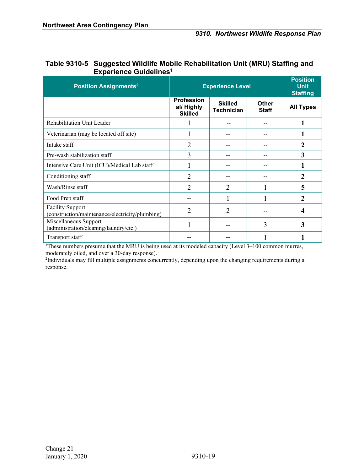| <b>FYNGHAIRE ANIMEIIIILES</b>                                              |                                                   |                                                   |                              |                  |
|----------------------------------------------------------------------------|---------------------------------------------------|---------------------------------------------------|------------------------------|------------------|
| <b>Position Assignments<sup>2</sup></b>                                    | <b>Experience Level</b>                           | <b>Position</b><br><b>Unit</b><br><b>Staffing</b> |                              |                  |
|                                                                            | <b>Profession</b><br>al/ Highly<br><b>Skilled</b> | <b>Skilled</b><br><b>Technician</b>               | <b>Other</b><br><b>Staff</b> | <b>All Types</b> |
| Rehabilitation Unit Leader                                                 |                                                   |                                                   |                              |                  |
| Veterinarian (may be located off site)                                     |                                                   |                                                   |                              |                  |
| Intake staff                                                               | $\overline{2}$                                    |                                                   |                              | $\mathbf{2}$     |
| Pre-wash stabilization staff                                               | 3                                                 | --                                                |                              | 3                |
| Intensive Care Unit (ICU)/Medical Lab staff                                |                                                   |                                                   |                              |                  |
| Conditioning staff                                                         | 2                                                 |                                                   |                              | 2                |
| Wash/Rinse staff                                                           | $\overline{2}$                                    | $\overline{2}$                                    |                              | 5                |
| Food Prep staff                                                            |                                                   |                                                   |                              | $\overline{2}$   |
| <b>Facility Support</b><br>(construction/maintenance/electricity/plumbing) | 2                                                 | $\overline{2}$                                    |                              | 4                |
| Miscellaneous Support<br>(administration/cleaning/laundry/etc.)            |                                                   |                                                   | 3                            | 3                |
| Transport staff                                                            |                                                   |                                                   |                              |                  |

#### **Table 9310-5 Suggested Wildlife Mobile Rehabilitation Unit (MRU) Staffing and Experience Guidelines1**

<sup>1</sup>These numbers presume that the MRU is being used at its modeled capacity (Level 3–100 common murres, moderately oiled, and over a 30-day response).

<sup>2</sup>Individuals may fill multiple assignments concurrently, depending upon the changing requirements during a response.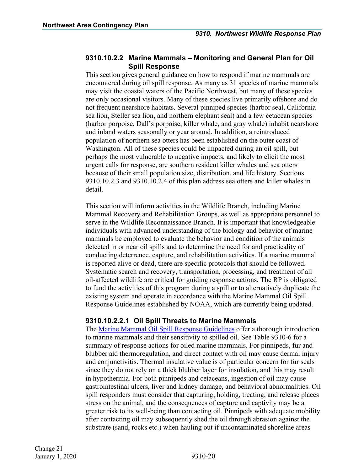#### <span id="page-22-0"></span>**9310.10.2.2 Marine Mammals – Monitoring and General Plan for Oil Spill Response**

This section gives general guidance on how to respond if marine mammals are encountered during oil spill response. As many as 31 species of marine mammals may visit the coastal waters of the Pacific Northwest, but many of these species are only occasional visitors. Many of these species live primarily offshore and do not frequent nearshore habitats. Several pinniped species (harbor seal, California sea lion, Steller sea lion, and northern elephant seal) and a few cetacean species (harbor porpoise, Dall's porpoise, killer whale, and gray whale) inhabit nearshore and inland waters seasonally or year around. In addition, a reintroduced population of northern sea otters has been established on the outer coast of Washington. All of these species could be impacted during an oil spill, but perhaps the most vulnerable to negative impacts, and likely to elicit the most urgent calls for response, are southern resident killer whales and sea otters because of their small population size, distribution, and life history. Sections 9310.10.2.3 and 9310.10.2.4 of this plan address sea otters and killer whales in detail.

This section will inform activities in the Wildlife Branch, including Marine Mammal Recovery and Rehabilitation Groups, as well as appropriate personnel to serve in the Wildlife Reconnaissance Branch. It is important that knowledgeable individuals with advanced understanding of the biology and behavior of marine mammals be employed to evaluate the behavior and condition of the animals detected in or near oil spills and to determine the need for and practicality of conducting deterrence, capture, and rehabilitation activities. If a marine mammal is reported alive or dead, there are specific protocols that should be followed. Systematic search and recovery, transportation, processing, and treatment of all oil-affected wildlife are critical for guiding response actions. The RP is obligated to fund the activities of this program during a spill or to alternatively duplicate the existing system and operate in accordance with the Marine Mammal Oil Spill Response Guidelines established by NOAA, which are currently being updated.

#### **9310.10.2.2.1 Oil Spill Threats to Marine Mammals**

The [Marine Mammal Oil Spill Response Guidelines](https://www.fisheries.noaa.gov/topic/marine-mammal-protection) offer a thorough introduction to marine mammals and their sensitivity to spilled oil. See Table 9310-6 for a summary of response actions for oiled marine mammals. For pinnipeds, fur and blubber aid thermoregulation, and direct contact with oil may cause dermal injury and conjunctivitis. Thermal insulative value is of particular concern for fur seals since they do not rely on a thick blubber layer for insulation, and this may result in hypothermia. For both pinnipeds and cetaceans, ingestion of oil may cause gastrointestinal ulcers, liver and kidney damage, and behavioral abnormalities. Oil spill responders must consider that capturing, holding, treating, and release places stress on the animal, and the consequences of capture and captivity may be a greater risk to its well-being than contacting oil. Pinnipeds with adequate mobility after contacting oil may subsequently shed the oil through abrasion against the substrate (sand, rocks etc.) when hauling out if uncontaminated shoreline areas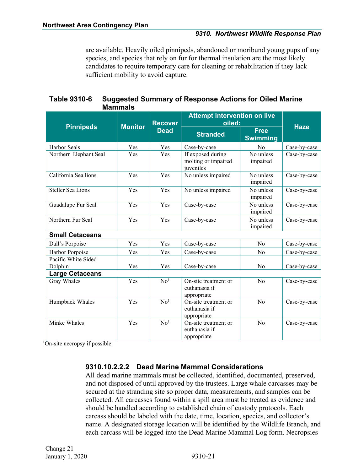are available. Heavily oiled pinnipeds, abandoned or moribund young pups of any species, and species that rely on fur for thermal insulation are the most likely candidates to require temporary care for cleaning or rehabilitation if they lack sufficient mobility to avoid capture.

| <b>Table 9310-6</b> | <b>Suggested Summary of Response Actions for Oiled Marine</b> |
|---------------------|---------------------------------------------------------------|
|                     | <b>Mammals</b>                                                |

|                          | <b>Monitor</b> | <b>Recover</b>  | <b>Attempt intervention on live</b><br>oiled:                            |                                |              |
|--------------------------|----------------|-----------------|--------------------------------------------------------------------------|--------------------------------|--------------|
| <b>Pinnipeds</b>         |                | <b>Dead</b>     | <b>Stranded</b>                                                          | <b>Free</b><br><b>Swimming</b> | <b>Haze</b>  |
| <b>Harbor Seals</b>      | Yes            | Yes             | Case-by-case                                                             | N <sub>0</sub>                 | Case-by-case |
| Northern Elephant Seal   | Yes            | Yes             | If exposed during<br>molting or impaired<br>juveniles                    | No unless<br>impaired          | Case-by-case |
| California Sea lions     | Yes            | Yes             | No unless impaired                                                       | No unless<br>impaired          | Case-by-case |
| <b>Steller Sea Lions</b> | Yes            | Yes             | No unless impaired                                                       | No unless<br>impaired          | Case-by-case |
| Guadalupe Fur Seal       | Yes            | Yes             | Case-by-case                                                             | No unless<br>impaired          | Case-by-case |
| Northern Fur Seal        | Yes            | Yes             | Case-by-case                                                             | No unless<br>impaired          | Case-by-case |
| <b>Small Cetaceans</b>   |                |                 |                                                                          |                                |              |
| Dall's Porpoise          | Yes            | Yes             | Case-by-case                                                             | No                             | Case-by-case |
| Harbor Porpoise          | Yes            | Yes             | Case-by-case                                                             | No                             | Case-by-case |
| Pacific White Sided      |                |                 |                                                                          |                                |              |
| Dolphin                  | Yes            | Yes             | Case-by-case                                                             | No                             | Case-by-case |
| <b>Large Cetaceans</b>   |                |                 |                                                                          |                                |              |
| Gray Whales              | Yes            | No <sup>1</sup> | $\overline{\text{On-site treatment}}$ or<br>euthanasia if<br>appropriate | N <sub>o</sub>                 | Case-by-case |
| Humpback Whales          | Yes            | No <sup>1</sup> | On-site treatment or<br>euthanasia if<br>appropriate                     | No                             | Case-by-case |
| Minke Whales             | Yes            | No <sup>1</sup> | On-site treatment or<br>euthanasia if<br>appropriate                     | No                             | Case-by-case |

<sup>1</sup>On-site necropsy if possible

#### **9310.10.2.2.2 Dead Marine Mammal Considerations**

All dead marine mammals must be collected, identified, documented, preserved, and not disposed of until approved by the trustees. Large whale carcasses may be secured at the stranding site so proper data, measurements, and samples can be collected. All carcasses found within a spill area must be treated as evidence and should be handled according to established chain of custody protocols. Each carcass should be labeled with the date, time, location, species, and collector's name. A designated storage location will be identified by the Wildlife Branch, and each carcass will be logged into the Dead Marine Mammal Log form. Necropsies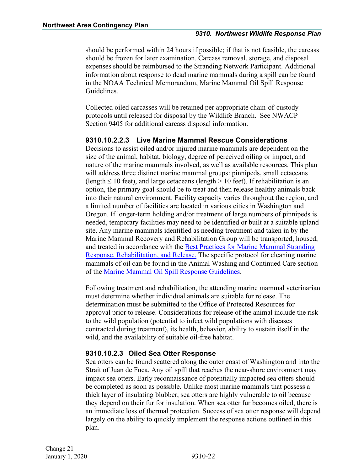should be performed within 24 hours if possible; if that is not feasible, the carcass should be frozen for later examination. Carcass removal, storage, and disposal expenses should be reimbursed to the Stranding Network Participant. Additional information about response to dead marine mammals during a spill can be found in the NOAA Technical Memorandum, Marine Mammal Oil Spill Response Guidelines.

Collected oiled carcasses will be retained per appropriate chain-of-custody protocols until released for disposal by the Wildlife Branch. See NWACP Section 9405 for additional carcass disposal information.

#### **9310.10.2.2.3 Live Marine Mammal Rescue Considerations**

Decisions to assist oiled and/or injured marine mammals are dependent on the size of the animal, habitat, biology, degree of perceived oiling or impact, and nature of the marine mammals involved, as well as available resources. This plan will address three distinct marine mammal groups: pinnipeds, small cetaceans (length  $\leq 10$  feet), and large cetaceans (length  $> 10$  feet). If rehabilitation is an option, the primary goal should be to treat and then release healthy animals back into their natural environment. Facility capacity varies throughout the region, and a limited number of facilities are located in various cities in Washington and Oregon. If longer-term holding and/or treatment of large numbers of pinnipeds is needed, temporary facilities may need to be identified or built at a suitable upland site. Any marine mammals identified as needing treatment and taken in by the Marine Mammal Recovery and Rehabilitation Group will be transported, housed, and treated in accordance with the [Best Practices for Marine Mammal Stranding](https://www.fisheries.noaa.gov/topic/marine-mammal-protection)  [Response, Rehabilitation, and Release.](https://www.fisheries.noaa.gov/topic/marine-mammal-protection) The specific protocol for cleaning marine mammals of oil can be found in the Animal Washing and Continued Care section of the [Marine Mammal Oil Spill Response Guidelines.](https://www.fisheries.noaa.gov/topic/marine-mammal-protection)

Following treatment and rehabilitation, the attending marine mammal veterinarian must determine whether individual animals are suitable for release. The determination must be submitted to the Office of Protected Resources for approval prior to release. Considerations for release of the animal include the risk to the wild population (potential to infect wild populations with diseases contracted during treatment), its health, behavior, ability to sustain itself in the wild, and the availability of suitable oil-free habitat.

#### <span id="page-24-0"></span>**9310.10.2.3 Oiled Sea Otter Response**

Sea otters can be found scattered along the outer coast of Washington and into the Strait of Juan de Fuca. Any oil spill that reaches the near-shore environment may impact sea otters. Early reconnaissance of potentially impacted sea otters should be completed as soon as possible. Unlike most marine mammals that possess a thick layer of insulating blubber, sea otters are highly vulnerable to oil because they depend on their fur for insulation. When sea otter fur becomes oiled, there is an immediate loss of thermal protection. Success of sea otter response will depend largely on the ability to quickly implement the response actions outlined in this plan.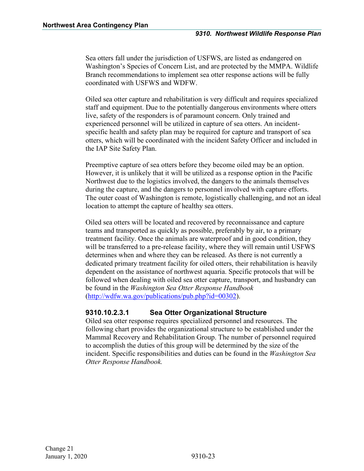Sea otters fall under the jurisdiction of USFWS, are listed as endangered on Washington's Species of Concern List, and are protected by the MMPA. Wildlife Branch recommendations to implement sea otter response actions will be fully coordinated with USFWS and WDFW.

Oiled sea otter capture and rehabilitation is very difficult and requires specialized staff and equipment. Due to the potentially dangerous environments where otters live, safety of the responders is of paramount concern. Only trained and experienced personnel will be utilized in capture of sea otters. An incidentspecific health and safety plan may be required for capture and transport of sea otters, which will be coordinated with the incident Safety Officer and included in the IAP Site Safety Plan.

Preemptive capture of sea otters before they become oiled may be an option. However, it is unlikely that it will be utilized as a response option in the Pacific Northwest due to the logistics involved, the dangers to the animals themselves during the capture, and the dangers to personnel involved with capture efforts. The outer coast of Washington is remote, logistically challenging, and not an ideal location to attempt the capture of healthy sea otters.

Oiled sea otters will be located and recovered by reconnaissance and capture teams and transported as quickly as possible, preferably by air, to a primary treatment facility. Once the animals are waterproof and in good condition, they will be transferred to a pre-release facility, where they will remain until USFWS determines when and where they can be released. As there is not currently a dedicated primary treatment facility for oiled otters, their rehabilitation is heavily dependent on the assistance of northwest aquaria. Specific protocols that will be followed when dealing with oiled sea otter capture, transport, and husbandry can be found in the *Washington Sea Otter Response Handbook* ([http://wdfw.wa.gov/publications/pub.php?id=00302\)](http://wdfw.wa.gov/publications/pub.php?id=00302).

#### **9310.10.2.3.1 Sea Otter Organizational Structure**

Oiled sea otter response requires specialized personnel and resources. The following chart provides the organizational structure to be established under the Mammal Recovery and Rehabilitation Group. The number of personnel required to accomplish the duties of this group will be determined by the size of the incident. Specific responsibilities and duties can be found in the *Washington Sea Otter Response Handbook.*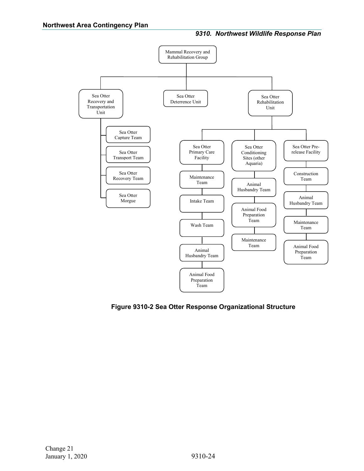

**Figure 9310-2 Sea Otter Response Organizational Structure**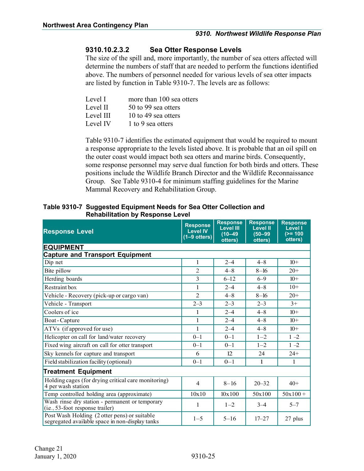#### **9310.10.2.3.2 Sea Otter Response Levels**

The size of the spill and, more importantly, the number of sea otters affected will determine the numbers of staff that are needed to perform the functions identified above. The numbers of personnel needed for various levels of sea otter impacts are listed by function in Table 9310-7. The levels are as follows:

| Level I   | more than 100 sea otters |
|-----------|--------------------------|
| Level II  | 50 to 99 sea otters      |
| Level III | 10 to 49 sea offers      |
| Level IV  | 1 to 9 sea otters        |

Table 9310-7 identifies the estimated equipment that would be required to mount a response appropriate to the levels listed above. It is probable that an oil spill on the outer coast would impact both sea otters and marine birds. Consequently, some response personnel may serve dual function for both birds and otters. These positions include the Wildlife Branch Director and the Wildlife Reconnaissance Group. See Table 9310-4 for minimum staffing guidelines for the Marine Mammal Recovery and Rehabilitation Group.

#### **Table 9310-7 Suggested Equipment Needs for Sea Otter Collection and Rehabilitation by Response Level**

| <b>Response Level</b>                                                                           | <b>Response</b><br><b>Level IV</b><br>$(1-9 \text{ others})$ | <b>Response</b><br><b>Level III</b><br>$(10 - 49)$<br>otters) | <b>Response</b><br><b>Level II</b><br>$(50 - 99)$<br>otters) | <b>Response</b><br><b>Level I</b><br>$(>= 100$<br>otters) |  |  |  |  |
|-------------------------------------------------------------------------------------------------|--------------------------------------------------------------|---------------------------------------------------------------|--------------------------------------------------------------|-----------------------------------------------------------|--|--|--|--|
| <b>EQUIPMENT</b>                                                                                |                                                              |                                                               |                                                              |                                                           |  |  |  |  |
| <b>Capture and Transport Equipment</b>                                                          |                                                              |                                                               |                                                              |                                                           |  |  |  |  |
| Dip net                                                                                         | 1                                                            | $2 - 4$                                                       | $4 - 8$                                                      | $10+$                                                     |  |  |  |  |
| Bite pillow                                                                                     | $\overline{2}$                                               | $4 - 8$                                                       | $8 - 16$                                                     | $20+$                                                     |  |  |  |  |
| Herding boards                                                                                  | $\overline{3}$                                               | $6 - 12$                                                      | $6 - 9$                                                      | $10+$                                                     |  |  |  |  |
| Restraint box                                                                                   | 1                                                            | $2 - 4$                                                       | $4 - 8$                                                      | $10+$                                                     |  |  |  |  |
| Vehicle - Recovery (pick-up or cargo van)                                                       | $\overline{2}$                                               | $4 - 8$                                                       | $8 - 16$                                                     | $20+$                                                     |  |  |  |  |
| Vehicle - Transport                                                                             | $2 - 3$                                                      | $2 - 3$                                                       | $2 - 3$                                                      | $3+$                                                      |  |  |  |  |
| Coolers of ice                                                                                  | 1                                                            | $2 - 4$                                                       | $4 - 8$                                                      | $10+$                                                     |  |  |  |  |
| Boat - Capture                                                                                  | 1                                                            | $2 - 4$                                                       | $4 - 8$                                                      | $10+$                                                     |  |  |  |  |
| ATVs (if approved for use)                                                                      | 1                                                            | $2 - 4$                                                       | $4 - 8$                                                      | $10+$                                                     |  |  |  |  |
| Helicopter on call for land/water recovery                                                      | $0 - 1$                                                      | $0 - 1$                                                       | $1 - 2$                                                      | $1 - 2$                                                   |  |  |  |  |
| Fixed wing aircraft on call for otter transport                                                 | $0 - 1$                                                      | $0 - 1$                                                       | $1 - 2$                                                      | $1 - 2$                                                   |  |  |  |  |
| Sky kennels for capture and transport                                                           | 6                                                            | 12.                                                           | 24                                                           | $24+$                                                     |  |  |  |  |
| Field stabilization facility (optional)                                                         | $0 - 1$                                                      | $0 - 1$                                                       | 1                                                            | 1                                                         |  |  |  |  |
| <b>Treatment Equipment</b>                                                                      |                                                              |                                                               |                                                              |                                                           |  |  |  |  |
| Holding cages (for drying critical care monitoring)<br>4 per wash station                       | $\overline{4}$                                               | $8 - 16$                                                      | $20 - 32$                                                    | $40+$                                                     |  |  |  |  |
| Temp controlled holding area (approximate)                                                      | 10x10                                                        | 10x100                                                        | 50x100                                                       | $50x100 +$                                                |  |  |  |  |
| Wash rinse dry station - permanent or temporary<br>(i.e., 53-foot response trailer)             | 1                                                            | $1 - 2$                                                       | $3 - 4$                                                      | $5 - 7$                                                   |  |  |  |  |
| Post Wash Holding (2 otter pens) or suitable<br>segregated available space in non-display tanks | $1 - 5$                                                      | $5 - 16$                                                      | $17 - 27$                                                    | 27 plus                                                   |  |  |  |  |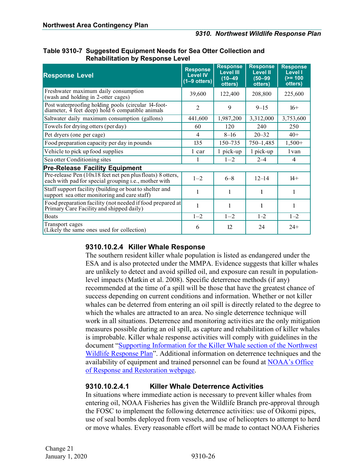| Table 9310-7 Suggested Equipment Needs for Sea Otter Collection and |
|---------------------------------------------------------------------|
| <b>Rehabilitation by Response Level</b>                             |

| <b>Response Level</b>                                                                                              | <b>Response</b><br><b>Level IV</b><br>$(1-9$ otters) | <b>Response</b><br><b>Level III</b><br>$(10 - 49)$<br>otters) | <b>Response</b><br><b>Level II</b><br>$(50 - 99)$<br>otters) | <b>Response</b><br><b>Level I</b><br>$(>= 100$<br>otters) |  |  |
|--------------------------------------------------------------------------------------------------------------------|------------------------------------------------------|---------------------------------------------------------------|--------------------------------------------------------------|-----------------------------------------------------------|--|--|
| Freshwater maximum daily consumption<br>(wash and holding in 2-otter cages)                                        | 39,600                                               | 122,400                                                       | 208,800                                                      | 225,600                                                   |  |  |
| Post waterproofing holding pools (circular 14-foot-<br>diameter, 4 feet deep) hold 6 compatible animals            | $\overline{2}$                                       | 9                                                             | $9 - 15$                                                     | $16+$                                                     |  |  |
| Saltwater daily maximum consumption (gallons)                                                                      | 441,600                                              | 1,987,200                                                     | 3,312,000                                                    | 3,753,600                                                 |  |  |
| Towels for drying otters (per day)                                                                                 | 60                                                   | 120                                                           | 240                                                          | 250                                                       |  |  |
| Pet dryers (one per cage)                                                                                          | 4                                                    | $8 - 16$                                                      | $20 - 32$                                                    | $40+$                                                     |  |  |
| Food preparation capacity per day in pounds                                                                        | 135                                                  | 150–735                                                       | $750 - 1,485$                                                | $1,500+$                                                  |  |  |
| Vehicle to pick up food supplies                                                                                   | 1 car                                                | 1 pick-up                                                     | 1 pick-up                                                    | 1 van                                                     |  |  |
| Sea otter Conditioning sites                                                                                       |                                                      | $1 - 2$                                                       | $2 - 4$                                                      | $\overline{4}$                                            |  |  |
| <b>Pre-Release Facility Equipment</b>                                                                              |                                                      |                                                               |                                                              |                                                           |  |  |
| Pre-release Pen (10x18 feet net pen plus floats) 8 otters,<br>each with pad for special grouping i.e., mother with | $1 - 2$                                              | $6 - 8$                                                       | $12 - 14$                                                    | $14+$                                                     |  |  |
| Staff support facility (building or boat to shelter and<br>support sea otter monitoring and care staff)            | 1                                                    | 1                                                             | 1                                                            | 1                                                         |  |  |
| Food preparation facility (not needed if food prepared at<br>Primary Care Facility and shipped daily)              | 1                                                    | 1                                                             | 1                                                            | 1                                                         |  |  |
| <b>Boats</b>                                                                                                       | $1 - 2$                                              | $1 - 2$                                                       | $1 - 2$                                                      | $1 - 2$                                                   |  |  |
| Transport cages<br>(Likely the same ones used for collection)                                                      | 6                                                    | 12                                                            | 24                                                           | $24+$                                                     |  |  |

#### <span id="page-28-0"></span>**9310.10.2.4 Killer Whale Response**

The southern resident killer whale population is listed as endangered under the ESA and is also protected under the MMPA. Evidence suggests that killer whales are unlikely to detect and avoid spilled oil, and exposure can result in populationlevel impacts (Matkin et al. 2008). Specific deterrence methods (if any) recommended at the time of a spill will be those that have the greatest chance of success depending on current conditions and information. Whether or not killer whales can be deterred from entering an oil spill is directly related to the degree to which the whales are attracted to an area. No single deterrence technique will work in all situations. Deterrence and monitoring activities are the only mitigation measures possible during an oil spill, as capture and rehabilitation of killer whales is improbable. Killer whale response activities will comply with guidelines in the document ["Supporting Information for the Killer Whale section of the Northwest](http://response.restoration.noaa.gov/sites/default/files/whale_response.pdf)  [Wildlife Response Plan"](http://response.restoration.noaa.gov/sites/default/files/whale_response.pdf). Additional information on deterrence techniques and the availability of equipment and trained personnel can be found at [NOAA's Office](http://response.restoration.noaa.gov/oil-and-chemical-spills/oil-spills/resources/oil-spill-response-and-killer-whales.html)  [of Response and Restoration webpage.](http://response.restoration.noaa.gov/oil-and-chemical-spills/oil-spills/resources/oil-spill-response-and-killer-whales.html)

#### **9310.10.2.4.1 Killer Whale Deterrence Activities**

In situations where immediate action is necessary to prevent killer whales from entering oil, NOAA Fisheries has given the Wildlife Branch pre-approval through the FOSC to implement the following deterrence activities: use of Oikomi pipes, use of seal bombs deployed from vessels, and use of helicopters to attempt to herd or move whales. Every reasonable effort will be made to contact NOAA Fisheries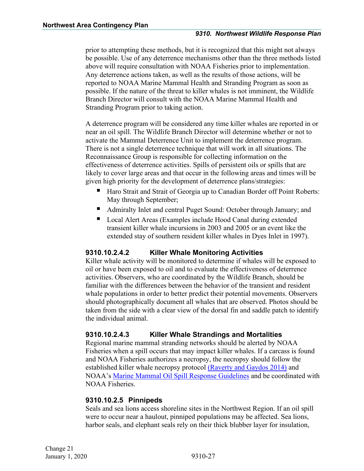prior to attempting these methods, but it is recognized that this might not always be possible. Use of any deterrence mechanisms other than the three methods listed above will require consultation with NOAA Fisheries prior to implementation. Any deterrence actions taken, as well as the results of those actions, will be reported to NOAA Marine Mammal Health and Stranding Program as soon as possible. If the nature of the threat to killer whales is not imminent, the Wildlife Branch Director will consult with the NOAA Marine Mammal Health and Stranding Program prior to taking action.

A deterrence program will be considered any time killer whales are reported in or near an oil spill. The Wildlife Branch Director will determine whether or not to activate the Mammal Deterrence Unit to implement the deterrence program. There is not a single deterrence technique that will work in all situations. The Reconnaissance Group is responsible for collecting information on the effectiveness of deterrence activities. Spills of persistent oils or spills that are likely to cover large areas and that occur in the following areas and times will be given high priority for the development of deterrence plans/strategies:

- Haro Strait and Strait of Georgia up to Canadian Border off Point Roberts: May through September;
- Admiralty Inlet and central Puget Sound: October through January; and
- Local Alert Areas (Examples include Hood Canal during extended transient killer whale incursions in 2003 and 2005 or an event like the extended stay of southern resident killer whales in Dyes Inlet in 1997).

#### **9310.10.2.4.2 Killer Whale Monitoring Activities**

Killer whale activity will be monitored to determine if whales will be exposed to oil or have been exposed to oil and to evaluate the effectiveness of deterrence activities. Observers, who are coordinated by the Wildlife Branch, should be familiar with the differences between the behavior of the transient and resident whale populations in order to better predict their potential movements. Observers should photographically document all whales that are observed. Photos should be taken from the side with a clear view of the dorsal fin and saddle patch to identify the individual animal.

#### **9310.10.2.4.3 Killer Whale Strandings and Mortalities**

Regional marine mammal stranding networks should be alerted by NOAA Fisheries when a spill occurs that may impact killer whales. If a carcass is found and NOAA Fisheries authorizes a necropsy, the necropsy should follow the established killer whale necropsy protocol [\(Raverty and Gaydos 2014\)](https://static1.squarespace.com/static/5b071ddea2772cebc1662831/t/5b29e3bb352f539b40739ecd/1529471951000/Orca-necropsy-protocol-FINAL-May-15-2014.pdf) and NOAA's [Marine Mammal Oil Spill Response Guidelines](https://www.fisheries.noaa.gov/topic/marine-mammal-protection) and be coordinated with NOAA Fisheries.

#### <span id="page-29-0"></span>**9310.10.2.5 Pinnipeds**

Seals and sea lions access shoreline sites in the Northwest Region. If an oil spill were to occur near a haulout, pinniped populations may be affected. Sea lions, harbor seals, and elephant seals rely on their thick blubber layer for insulation,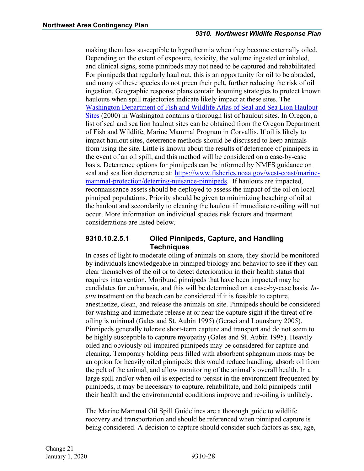making them less susceptible to hypothermia when they become externally oiled. Depending on the extent of exposure, toxicity, the volume ingested or inhaled, and clinical signs, some pinnipeds may not need to be captured and rehabilitated. For pinnipeds that regularly haul out, this is an opportunity for oil to be abraded, and many of these species do not preen their pelt, further reducing the risk of oil ingestion. Geographic response plans contain booming strategies to protect known haulouts when spill trajectories indicate likely impact at these sites. The [Washington Department of Fish and Wildlife Atlas of Seal and Sea Lion Haulout](http://wdfw.wa.gov/publications/00427/)  [Sites](http://wdfw.wa.gov/publications/00427/) (2000) in Washington contains a thorough list of haulout sites. In Oregon, a list of seal and sea lion haulout sites can be obtained from the Oregon Department of Fish and Wildlife, Marine Mammal Program in Corvallis. If oil is likely to impact haulout sites, deterrence methods should be discussed to keep animals from using the site. Little is known about the results of deterrence of pinnipeds in the event of an oil spill, and this method will be considered on a case-by-case basis. Deterrence options for pinnipeds can be informed by NMFS guidance on seal and sea lion deterrence at: [https://www.fisheries.noaa.gov/west](https://www.fisheries.noaa.gov/west-coast/marine-mammal-protection/deterring-nuisance-pinnipeds)-coast/marinemammal-protection/deterring[-nuisance-pinnipeds.](https://www.fisheries.noaa.gov/west-coast/marine-mammal-protection/deterring-nuisance-pinnipeds) If haulouts are impacted, reconnaissance assets should be deployed to assess the impact of the oil on local pinniped populations. Priority should be given to minimizing beaching of oil at the haulout and secondarily to cleaning the haulout if immediate re-oiling will not occur. More information on individual species risk factors and treatment considerations are listed below.

#### **9310.10.2.5.1 Oiled Pinnipeds, Capture, and Handling Techniques**

In cases of light to moderate oiling of animals on shore, they should be monitored by individuals knowledgeable in pinniped biology and behavior to see if they can clear themselves of the oil or to detect deterioration in their health status that requires intervention. Moribund pinnipeds that have been impacted may be candidates for euthanasia, and this will be determined on a case-by-case basis. *Insitu* treatment on the beach can be considered if it is feasible to capture, anesthetize, clean, and release the animals on site. Pinnipeds should be considered for washing and immediate release at or near the capture sight if the threat of reoiling is minimal (Gales and St. Aubin 1995) (Geraci and Lounsbury 2005). Pinnipeds generally tolerate short-term capture and transport and do not seem to be highly susceptible to capture myopathy (Gales and St. Aubin 1995). Heavily oiled and obviously oil-impaired pinnipeds may be considered for capture and cleaning. Temporary holding pens filled with absorbent sphagnum moss may be an option for heavily oiled pinnipeds; this would reduce handling, absorb oil from the pelt of the animal, and allow monitoring of the animal's overall health. In a large spill and/or when oil is expected to persist in the environment frequented by pinnipeds, it may be necessary to capture, rehabilitate, and hold pinnipeds until their health and the environmental conditions improve and re-oiling is unlikely.

The Marine Mammal Oil Spill Guidelines are a thorough guide to wildlife recovery and transportation and should be referenced when pinniped capture is being considered. A decision to capture should consider such factors as sex, age,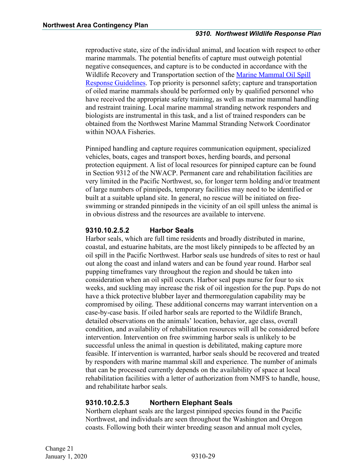reproductive state, size of the individual animal, and location with respect to other marine mammals. The potential benefits of capture must outweigh potential negative consequences, and capture is to be conducted in accordance with the Wildlife Recovery and Transportation section of the [Marine Mammal Oil Spill](https://www.fisheries.noaa.gov/topic/marine-mammal-protection)  [Response Guidelines.](https://www.fisheries.noaa.gov/topic/marine-mammal-protection) Top priority is personnel safety; capture and transportation of oiled marine mammals should be performed only by qualified personnel who have received the appropriate safety training, as well as marine mammal handling and restraint training. Local marine mammal stranding network responders and biologists are instrumental in this task, and a list of trained responders can be obtained from the Northwest Marine Mammal Stranding Network Coordinator within NOAA Fisheries.

Pinniped handling and capture requires communication equipment, specialized vehicles, boats, cages and transport boxes, herding boards, and personal protection equipment. A list of local resources for pinniped capture can be found in Section 9312 of the NWACP. Permanent care and rehabilitation facilities are very limited in the Pacific Northwest, so, for longer term holding and/or treatment of large numbers of pinnipeds, temporary facilities may need to be identified or built at a suitable upland site. In general, no rescue will be initiated on freeswimming or stranded pinnipeds in the vicinity of an oil spill unless the animal is in obvious distress and the resources are available to intervene.

#### **9310.10.2.5.2 Harbor Seals**

Harbor seals, which are full time residents and broadly distributed in marine, coastal, and estuarine habitats, are the most likely pinnipeds to be affected by an oil spill in the Pacific Northwest. Harbor seals use hundreds of sites to rest or haul out along the coast and inland waters and can be found year round. Harbor seal pupping timeframes vary throughout the region and should be taken into consideration when an oil spill occurs. Harbor seal pups nurse for four to six weeks, and suckling may increase the risk of oil ingestion for the pup. Pups do not have a thick protective blubber layer and thermoregulation capability may be compromised by oiling. These additional concerns may warrant intervention on a case-by-case basis. If oiled harbor seals are reported to the Wildlife Branch, detailed observations on the animals' location, behavior, age class, overall condition, and availability of rehabilitation resources will all be considered before intervention. Intervention on free swimming harbor seals is unlikely to be successful unless the animal in question is debilitated, making capture more feasible. If intervention is warranted, harbor seals should be recovered and treated by responders with marine mammal skill and experience. The number of animals that can be processed currently depends on the availability of space at local rehabilitation facilities with a letter of authorization from NMFS to handle, house, and rehabilitate harbor seals.

#### **9310.10.2.5.3 Northern Elephant Seals**

Northern elephant seals are the largest pinniped species found in the Pacific Northwest, and individuals are seen throughout the Washington and Oregon coasts. Following both their winter breeding season and annual molt cycles,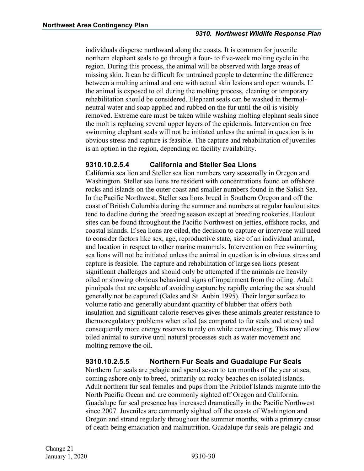individuals disperse northward along the coasts. It is common for juvenile northern elephant seals to go through a four- to five-week molting cycle in the region. During this process, the animal will be observed with large areas of missing skin. It can be difficult for untrained people to determine the difference between a molting animal and one with actual skin lesions and open wounds. If the animal is exposed to oil during the molting process, cleaning or temporary rehabilitation should be considered. Elephant seals can be washed in thermalneutral water and soap applied and rubbed on the fur until the oil is visibly removed. Extreme care must be taken while washing molting elephant seals since the molt is replacing several upper layers of the epidermis. Intervention on free swimming elephant seals will not be initiated unless the animal in question is in obvious stress and capture is feasible. The capture and rehabilitation of juveniles is an option in the region, depending on facility availability.

#### **9310.10.2.5.4 California and Steller Sea Lions**

California sea lion and Steller sea lion numbers vary seasonally in Oregon and Washington. Steller sea lions are resident with concentrations found on offshore rocks and islands on the outer coast and smaller numbers found in the Salish Sea. In the Pacific Northwest, Steller sea lions breed in Southern Oregon and off the coast of British Columbia during the summer and numbers at regular haulout sites tend to decline during the breeding season except at breeding rookeries. Haulout sites can be found throughout the Pacific Northwest on jetties, offshore rocks, and coastal islands. If sea lions are oiled, the decision to capture or intervene will need to consider factors like sex, age, reproductive state, size of an individual animal, and location in respect to other marine mammals. Intervention on free swimming sea lions will not be initiated unless the animal in question is in obvious stress and capture is feasible. The capture and rehabilitation of large sea lions present significant challenges and should only be attempted if the animals are heavily oiled or showing obvious behavioral signs of impairment from the oiling. Adult pinnipeds that are capable of avoiding capture by rapidly entering the sea should generally not be captured (Gales and St. Aubin 1995). Their larger surface to volume ratio and generally abundant quantity of blubber that offers both insulation and significant calorie reserves gives these animals greater resistance to thermoregulatory problems when oiled (as compared to fur seals and otters) and consequently more energy reserves to rely on while convalescing. This may allow oiled animal to survive until natural processes such as water movement and molting remove the oil.

#### **9310.10.2.5.5 Northern Fur Seals and Guadalupe Fur Seals**

Northern fur seals are pelagic and spend seven to ten months of the year at sea, coming ashore only to breed, primarily on rocky beaches on isolated islands. Adult northern fur seal females and pups from the Pribilof Islands migrate into the North Pacific Ocean and are commonly sighted off Oregon and California. Guadalupe fur seal presence has increased dramatically in the Pacific Northwest since 2007. Juveniles are commonly sighted off the coasts of Washington and Oregon and strand regularly throughout the summer months, with a primary cause of death being emaciation and malnutrition. Guadalupe fur seals are pelagic and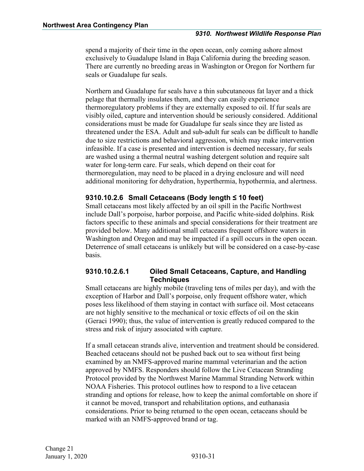spend a majority of their time in the open ocean, only coming ashore almost exclusively to Guadalupe Island in Baja California during the breeding season. There are currently no breeding areas in Washington or Oregon for Northern fur seals or Guadalupe fur seals.

Northern and Guadalupe fur seals have a thin subcutaneous fat layer and a thick pelage that thermally insulates them, and they can easily experience thermoregulatory problems if they are externally exposed to oil. If fur seals are visibly oiled, capture and intervention should be seriously considered. Additional considerations must be made for Guadalupe fur seals since they are listed as threatened under the ESA. Adult and sub-adult fur seals can be difficult to handle due to size restrictions and behavioral aggression, which may make intervention infeasible. If a case is presented and intervention is deemed necessary, fur seals are washed using a thermal neutral washing detergent solution and require salt water for long-term care. Fur seals, which depend on their coat for thermoregulation, may need to be placed in a drying enclosure and will need additional monitoring for dehydration, hyperthermia, hypothermia, and alertness.

#### <span id="page-33-0"></span>**9310.10.2.6 Small Cetaceans (Body length ≤ 10 feet)**

Small cetaceans most likely affected by an oil spill in the Pacific Northwest include Dall's porpoise, harbor porpoise, and Pacific white-sided dolphins. Risk factors specific to these animals and special considerations for their treatment are provided below. Many additional small cetaceans frequent offshore waters in Washington and Oregon and may be impacted if a spill occurs in the open ocean. Deterrence of small cetaceans is unlikely but will be considered on a case-by-case basis.

#### **9310.10.2.6.1 Oiled Small Cetaceans, Capture, and Handling Techniques**

Small cetaceans are highly mobile (traveling tens of miles per day), and with the exception of Harbor and Dall's porpoise, only frequent offshore water, which poses less likelihood of them staying in contact with surface oil. Most cetaceans are not highly sensitive to the mechanical or toxic effects of oil on the skin (Geraci 1990); thus, the value of intervention is greatly reduced compared to the stress and risk of injury associated with capture.

If a small cetacean strands alive, intervention and treatment should be considered. Beached cetaceans should not be pushed back out to sea without first being examined by an NMFS-approved marine mammal veterinarian and the action approved by NMFS. Responders should follow the Live Cetacean Stranding Protocol provided by the Northwest Marine Mammal Stranding Network within NOAA Fisheries. This protocol outlines how to respond to a live cetacean stranding and options for release, how to keep the animal comfortable on shore if it cannot be moved, transport and rehabilitation options, and euthanasia considerations. Prior to being returned to the open ocean, cetaceans should be marked with an NMFS-approved brand or tag.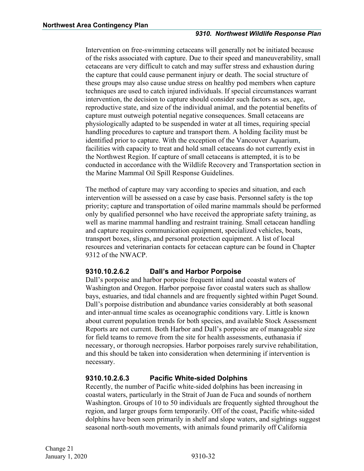#### *9310. Northwest Wildlife Response Plan*

Intervention on free-swimming cetaceans will generally not be initiated because of the risks associated with capture. Due to their speed and maneuverability, small cetaceans are very difficult to catch and may suffer stress and exhaustion during the capture that could cause permanent injury or death. The social structure of these groups may also cause undue stress on healthy pod members when capture techniques are used to catch injured individuals. If special circumstances warrant intervention, the decision to capture should consider such factors as sex, age, reproductive state, and size of the individual animal, and the potential benefits of capture must outweigh potential negative consequences. Small cetaceans are physiologically adapted to be suspended in water at all times, requiring special handling procedures to capture and transport them. A holding facility must be identified prior to capture. With the exception of the Vancouver Aquarium, facilities with capacity to treat and hold small cetaceans do not currently exist in the Northwest Region. If capture of small cetaceans is attempted, it is to be conducted in accordance with the Wildlife Recovery and Transportation section in the Marine Mammal Oil Spill Response Guidelines.

The method of capture may vary according to species and situation, and each intervention will be assessed on a case by case basis. Personnel safety is the top priority; capture and transportation of oiled marine mammals should be performed only by qualified personnel who have received the appropriate safety training, as well as marine mammal handling and restraint training. Small cetacean handling and capture requires communication equipment, specialized vehicles, boats, transport boxes, slings, and personal protection equipment. A list of local resources and veterinarian contacts for cetacean capture can be found in Chapter 9312 of the NWACP.

#### **9310.10.2.6.2 Dall's and Harbor Porpoise**

Dall's porpoise and harbor porpoise frequent inland and coastal waters of Washington and Oregon. Harbor porpoise favor coastal waters such as shallow bays, estuaries, and tidal channels and are frequently sighted within Puget Sound. Dall's porpoise distribution and abundance varies considerably at both seasonal and inter-annual time scales as oceanographic conditions vary. Little is known about current population trends for both species, and available Stock Assessment Reports are not current. Both Harbor and Dall's porpoise are of manageable size for field teams to remove from the site for health assessments, euthanasia if necessary, or thorough necropsies. Harbor porpoises rarely survive rehabilitation, and this should be taken into consideration when determining if intervention is necessary.

#### **9310.10.2.6.3 Pacific White-sided Dolphins**

Recently, the number of Pacific white-sided dolphins has been increasing in coastal waters, particularly in the Strait of Juan de Fuca and sounds of northern Washington. Groups of 10 to 50 individuals are frequently sighted throughout the region, and larger groups form temporarily. Off of the coast, Pacific white-sided dolphins have been seen primarily in shelf and slope waters, and sightings suggest seasonal north-south movements, with animals found primarily off California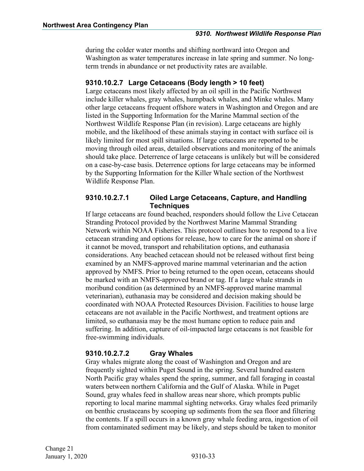during the colder water months and shifting northward into Oregon and Washington as water temperatures increase in late spring and summer. No longterm trends in abundance or net productivity rates are available.

#### <span id="page-35-0"></span>**9310.10.2.7 Large Cetaceans (Body length > 10 feet)**

Large cetaceans most likely affected by an oil spill in the Pacific Northwest include killer whales, gray whales, humpback whales, and Minke whales. Many other large cetaceans frequent offshore waters in Washington and Oregon and are listed in the Supporting Information for the Marine Mammal section of the Northwest Wildlife Response Plan (in revision). Large cetaceans are highly mobile, and the likelihood of these animals staying in contact with surface oil is likely limited for most spill situations. If large cetaceans are reported to be moving through oiled areas, detailed observations and monitoring of the animals should take place. Deterrence of large cetaceans is unlikely but will be considered on a case-by-case basis. Deterrence options for large cetaceans may be informed by the Supporting Information for the Killer Whale section of the Northwest Wildlife Response Plan.

#### **9310.10.2.7.1 Oiled Large Cetaceans, Capture, and Handling Techniques**

If large cetaceans are found beached, responders should follow the Live Cetacean Stranding Protocol provided by the Northwest Marine Mammal Stranding Network within NOAA Fisheries. This protocol outlines how to respond to a live cetacean stranding and options for release, how to care for the animal on shore if it cannot be moved, transport and rehabilitation options, and euthanasia considerations. Any beached cetacean should not be released without first being examined by an NMFS-approved marine mammal veterinarian and the action approved by NMFS. Prior to being returned to the open ocean, cetaceans should be marked with an NMFS-approved brand or tag. If a large whale strands in moribund condition (as determined by an NMFS-approved marine mammal veterinarian), euthanasia may be considered and decision making should be coordinated with NOAA Protected Resources Division. Facilities to house large cetaceans are not available in the Pacific Northwest, and treatment options are limited, so euthanasia may be the most humane option to reduce pain and suffering. In addition, capture of oil-impacted large cetaceans is not feasible for free-swimming individuals.

#### **9310.10.2.7.2 Gray Whales**

Gray whales migrate along the coast of Washington and Oregon and are frequently sighted within Puget Sound in the spring. Several hundred eastern North Pacific gray whales spend the spring, summer, and fall foraging in coastal waters between northern California and the Gulf of Alaska. While in Puget Sound, gray whales feed in shallow areas near shore, which prompts public reporting to local marine mammal sighting networks. Gray whales feed primarily on benthic crustaceans by scooping up sediments from the sea floor and filtering the contents. If a spill occurs in a known gray whale feeding area, ingestion of oil from contaminated sediment may be likely, and steps should be taken to monitor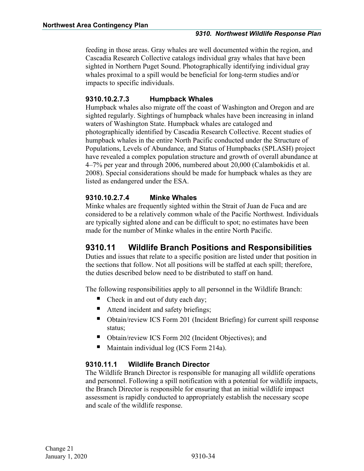feeding in those areas. Gray whales are well documented within the region, and Cascadia Research Collective catalogs individual gray whales that have been sighted in Northern Puget Sound. Photographically identifying individual gray whales proximal to a spill would be beneficial for long-term studies and/or impacts to specific individuals.

#### **9310.10.2.7.3 Humpback Whales**

Humpback whales also migrate off the coast of Washington and Oregon and are sighted regularly. Sightings of humpback whales have been increasing in inland waters of Washington State. Humpback whales are cataloged and photographically identified by Cascadia Research Collective. Recent studies of humpback whales in the entire North Pacific conducted under the Structure of Populations, Levels of Abundance, and Status of Humpbacks (SPLASH) project have revealed a complex population structure and growth of overall abundance at 4–7% per year and through 2006, numbered about 20,000 (Calambokidis et al. 2008). Special considerations should be made for humpback whales as they are listed as endangered under the ESA.

#### **9310.10.2.7.4 Minke Whales**

Minke whales are frequently sighted within the Strait of Juan de Fuca and are considered to be a relatively common whale of the Pacific Northwest. Individuals are typically sighted alone and can be difficult to spot; no estimates have been made for the number of Minke whales in the entire North Pacific.

## <span id="page-36-0"></span>**9310.11 Wildlife Branch Positions and Responsibilities**

Duties and issues that relate to a specific position are listed under that position in the sections that follow. Not all positions will be staffed at each spill; therefore, the duties described below need to be distributed to staff on hand.

The following responsibilities apply to all personnel in the Wildlife Branch:

- Check in and out of duty each day;
- Attend incident and safety briefings;
- Obtain/review ICS Form 201 (Incident Briefing) for current spill response status;
- Obtain/review ICS Form 202 (Incident Objectives); and
- Maintain individual log (ICS Form 214a).

#### <span id="page-36-1"></span>**9310.11.1 Wildlife Branch Director**

The Wildlife Branch Director is responsible for managing all wildlife operations and personnel. Following a spill notification with a potential for wildlife impacts, the Branch Director is responsible for ensuring that an initial wildlife impact assessment is rapidly conducted to appropriately establish the necessary scope and scale of the wildlife response.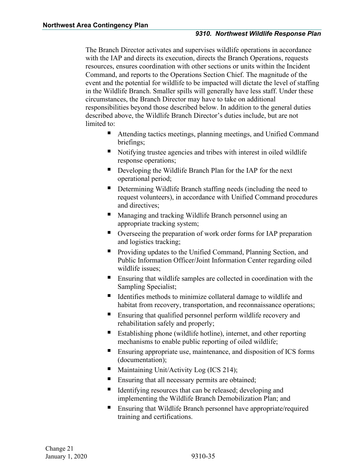The Branch Director activates and supervises wildlife operations in accordance with the IAP and directs its execution, directs the Branch Operations, requests resources, ensures coordination with other sections or units within the Incident Command, and reports to the Operations Section Chief. The magnitude of the event and the potential for wildlife to be impacted will dictate the level of staffing in the Wildlife Branch. Smaller spills will generally have less staff. Under these circumstances, the Branch Director may have to take on additional responsibilities beyond those described below. In addition to the general duties described above, the Wildlife Branch Director's duties include, but are not limited to:

- Attending tactics meetings, planning meetings, and Unified Command briefings;
- Notifying trustee agencies and tribes with interest in oiled wildlife response operations;
- Developing the Wildlife Branch Plan for the IAP for the next operational period;
- Determining Wildlife Branch staffing needs (including the need to request volunteers), in accordance with Unified Command procedures and directives;
- **Managing and tracking Wildlife Branch personnel using an** appropriate tracking system;
- Overseeing the preparation of work order forms for IAP preparation and logistics tracking;
- **Providing updates to the Unified Command, Planning Section, and** Public Information Officer/Joint Information Center regarding oiled wildlife issues;
- Ensuring that wildlife samples are collected in coordination with the Sampling Specialist;
- Identifies methods to minimize collateral damage to wildlife and habitat from recovery, transportation, and reconnaissance operations;
- Ensuring that qualified personnel perform wildlife recovery and rehabilitation safely and properly;
- Establishing phone (wildlife hotline), internet, and other reporting mechanisms to enable public reporting of oiled wildlife;
- **Ensuring appropriate use, maintenance, and disposition of ICS forms** (documentation);
- Maintaining Unit/Activity Log (ICS 214);
- Ensuring that all necessary permits are obtained;
- Identifying resources that can be released; developing and implementing the Wildlife Branch Demobilization Plan; and
- Ensuring that Wildlife Branch personnel have appropriate/required training and certifications.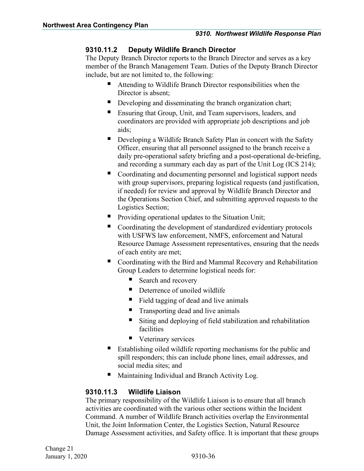#### <span id="page-38-0"></span>**9310.11.2 Deputy Wildlife Branch Director**

The Deputy Branch Director reports to the Branch Director and serves as a key member of the Branch Management Team. Duties of the Deputy Branch Director include, but are not limited to, the following:

- Attending to Wildlife Branch Director responsibilities when the Director is absent;
- Developing and disseminating the branch organization chart;
- Ensuring that Group, Unit, and Team supervisors, leaders, and coordinators are provided with appropriate job descriptions and job aids;
- Developing a Wildlife Branch Safety Plan in concert with the Safety Officer, ensuring that all personnel assigned to the branch receive a daily pre-operational safety briefing and a post-operational de-briefing, and recording a summary each day as part of the Unit Log (ICS 214);
- Coordinating and documenting personnel and logistical support needs with group supervisors, preparing logistical requests (and justification, if needed) for review and approval by Wildlife Branch Director and the Operations Section Chief, and submitting approved requests to the Logistics Section;
- **Providing operational updates to the Situation Unit;**
- Coordinating the development of standardized evidentiary protocols with USFWS law enforcement, NMFS, enforcement and Natural Resource Damage Assessment representatives, ensuring that the needs of each entity are met;
- Coordinating with the Bird and Mammal Recovery and Rehabilitation Group Leaders to determine logistical needs for:
	- Search and recovery
	- Deterrence of unoiled wildlife
	- Field tagging of dead and live animals
	- **Transporting dead and live animals**
	- Siting and deploying of field stabilization and rehabilitation facilities
	- Veterinary services
- Establishing oiled wildlife reporting mechanisms for the public and spill responders; this can include phone lines, email addresses, and social media sites; and
- Maintaining Individual and Branch Activity Log.

#### <span id="page-38-1"></span>**9310.11.3 Wildlife Liaison**

The primary responsibility of the Wildlife Liaison is to ensure that all branch activities are coordinated with the various other sections within the Incident Command. A number of Wildlife Branch activities overlap the Environmental Unit, the Joint Information Center, the Logistics Section, Natural Resource Damage Assessment activities, and Safety office. It is important that these groups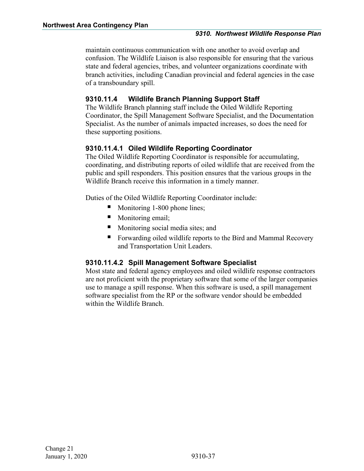maintain continuous communication with one another to avoid overlap and confusion. The Wildlife Liaison is also responsible for ensuring that the various state and federal agencies, tribes, and volunteer organizations coordinate with branch activities, including Canadian provincial and federal agencies in the case of a transboundary spill.

#### <span id="page-39-0"></span>**9310.11.4 Wildlife Branch Planning Support Staff**

The Wildlife Branch planning staff include the Oiled Wildlife Reporting Coordinator, the Spill Management Software Specialist, and the Documentation Specialist. As the number of animals impacted increases, so does the need for these supporting positions.

#### <span id="page-39-1"></span>**9310.11.4.1 Oiled Wildlife Reporting Coordinator**

The Oiled Wildlife Reporting Coordinator is responsible for accumulating, coordinating, and distributing reports of oiled wildlife that are received from the public and spill responders. This position ensures that the various groups in the Wildlife Branch receive this information in a timely manner.

Duties of the Oiled Wildlife Reporting Coordinator include:

- Monitoring 1-800 phone lines;
- **Monitoring email;**
- **Monitoring social media sites; and**
- **Forwarding oiled wildlife reports to the Bird and Mammal Recovery** and Transportation Unit Leaders.

#### <span id="page-39-2"></span>**9310.11.4.2 Spill Management Software Specialist**

Most state and federal agency employees and oiled wildlife response contractors are not proficient with the proprietary software that some of the larger companies use to manage a spill response. When this software is used, a spill management software specialist from the RP or the software vendor should be embedded within the Wildlife Branch.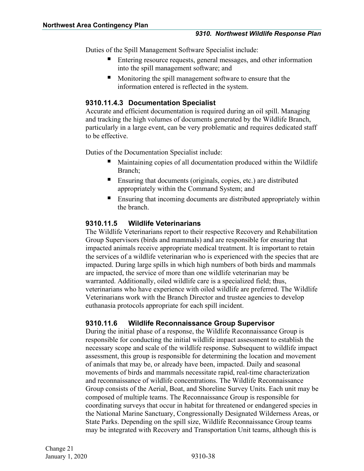Duties of the Spill Management Software Specialist include:

- Entering resource requests, general messages, and other information into the spill management software; and
- **Monitoring the spill management software to ensure that the** information entered is reflected in the system.

#### <span id="page-40-0"></span>**9310.11.4.3 Documentation Specialist**

Accurate and efficient documentation is required during an oil spill. Managing and tracking the high volumes of documents generated by the Wildlife Branch, particularly in a large event, can be very problematic and requires dedicated staff to be effective.

Duties of the Documentation Specialist include:

- Maintaining copies of all documentation produced within the Wildlife Branch;
- Ensuring that documents (originals, copies, etc.) are distributed appropriately within the Command System; and
- **Ensuring that incoming documents are distributed appropriately within** the branch.

#### <span id="page-40-1"></span>**9310.11.5 Wildlife Veterinarians**

The Wildlife Veterinarians report to their respective Recovery and Rehabilitation Group Supervisors (birds and mammals) and are responsible for ensuring that impacted animals receive appropriate medical treatment. It is important to retain the services of a wildlife veterinarian who is experienced with the species that are impacted. During large spills in which high numbers of both birds and mammals are impacted, the service of more than one wildlife veterinarian may be warranted. Additionally, oiled wildlife care is a specialized field; thus, veterinarians who have experience with oiled wildlife are preferred. The Wildlife Veterinarians work with the Branch Director and trustee agencies to develop euthanasia protocols appropriate for each spill incident.

#### <span id="page-40-2"></span>**9310.11.6 Wildlife Reconnaissance Group Supervisor**

During the initial phase of a response, the Wildlife Reconnaissance Group is responsible for conducting the initial wildlife impact assessment to establish the necessary scope and scale of the wildlife response. Subsequent to wildlife impact assessment, this group is responsible for determining the location and movement of animals that may be, or already have been, impacted. Daily and seasonal movements of birds and mammals necessitate rapid, real-time characterization and reconnaissance of wildlife concentrations. The Wildlife Reconnaissance Group consists of the Aerial, Boat, and Shoreline Survey Units. Each unit may be composed of multiple teams. The Reconnaissance Group is responsible for coordinating surveys that occur in habitat for threatened or endangered species in the National Marine Sanctuary, Congressionally Designated Wilderness Areas, or State Parks. Depending on the spill size, Wildlife Reconnaissance Group teams may be integrated with Recovery and Transportation Unit teams, although this is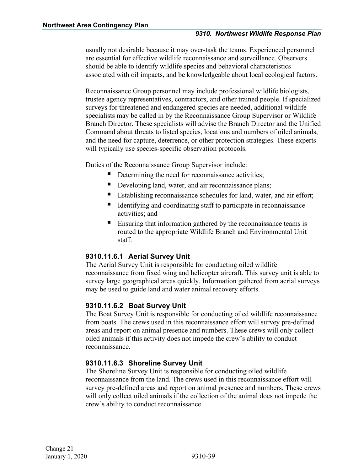usually not desirable because it may over-task the teams. Experienced personnel are essential for effective wildlife reconnaissance and surveillance. Observers should be able to identify wildlife species and behavioral characteristics associated with oil impacts, and be knowledgeable about local ecological factors.

Reconnaissance Group personnel may include professional wildlife biologists, trustee agency representatives, contractors, and other trained people. If specialized surveys for threatened and endangered species are needed, additional wildlife specialists may be called in by the Reconnaissance Group Supervisor or Wildlife Branch Director. These specialists will advise the Branch Director and the Unified Command about threats to listed species, locations and numbers of oiled animals, and the need for capture, deterrence, or other protection strategies. These experts will typically use species-specific observation protocols.

Duties of the Reconnaissance Group Supervisor include:

- Determining the need for reconnaissance activities;
- Developing land, water, and air reconnaissance plans;
- Establishing reconnaissance schedules for land, water, and air effort;
- Identifying and coordinating staff to participate in reconnaissance activities; and
- Ensuring that information gathered by the reconnaissance teams is routed to the appropriate Wildlife Branch and Environmental Unit staff.

#### <span id="page-41-0"></span>**9310.11.6.1 Aerial Survey Unit**

The Aerial Survey Unit is responsible for conducting oiled wildlife reconnaissance from fixed wing and helicopter aircraft. This survey unit is able to survey large geographical areas quickly. Information gathered from aerial surveys may be used to guide land and water animal recovery efforts.

#### <span id="page-41-1"></span>**9310.11.6.2 Boat Survey Unit**

The Boat Survey Unit is responsible for conducting oiled wildlife reconnaissance from boats. The crews used in this reconnaissance effort will survey pre-defined areas and report on animal presence and numbers. These crews will only collect oiled animals if this activity does not impede the crew's ability to conduct reconnaissance.

#### <span id="page-41-2"></span>**9310.11.6.3 Shoreline Survey Unit**

The Shoreline Survey Unit is responsible for conducting oiled wildlife reconnaissance from the land. The crews used in this reconnaissance effort will survey pre-defined areas and report on animal presence and numbers. These crews will only collect oiled animals if the collection of the animal does not impede the crew's ability to conduct reconnaissance.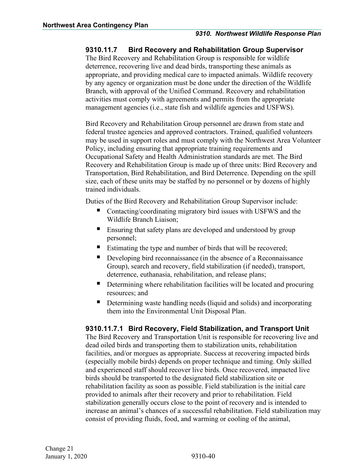#### <span id="page-42-0"></span>**9310.11.7 Bird Recovery and Rehabilitation Group Supervisor**

The Bird Recovery and Rehabilitation Group is responsible for wildlife deterrence, recovering live and dead birds, transporting these animals as appropriate, and providing medical care to impacted animals. Wildlife recovery by any agency or organization must be done under the direction of the Wildlife Branch, with approval of the Unified Command. Recovery and rehabilitation activities must comply with agreements and permits from the appropriate management agencies (i.e., state fish and wildlife agencies and USFWS).

Bird Recovery and Rehabilitation Group personnel are drawn from state and federal trustee agencies and approved contractors. Trained, qualified volunteers may be used in support roles and must comply with the Northwest Area Volunteer Policy, including ensuring that appropriate training requirements and Occupational Safety and Health Administration standards are met. The Bird Recovery and Rehabilitation Group is made up of three units: Bird Recovery and Transportation, Bird Rehabilitation, and Bird Deterrence. Depending on the spill size, each of these units may be staffed by no personnel or by dozens of highly trained individuals.

Duties of the Bird Recovery and Rehabilitation Group Supervisor include:

- Contacting/coordinating migratory bird issues with USFWS and the Wildlife Branch Liaison;
- **Ensuring that safety plans are developed and understood by group** personnel;
- Estimating the type and number of birds that will be recovered;
- Developing bird reconnaissance (in the absence of a Reconnaissance Group), search and recovery, field stabilization (if needed), transport, deterrence, euthanasia, rehabilitation, and release plans;
- Determining where rehabilitation facilities will be located and procuring resources; and
- Determining waste handling needs (liquid and solids) and incorporating them into the Environmental Unit Disposal Plan.

#### <span id="page-42-1"></span>**9310.11.7.1 Bird Recovery, Field Stabilization, and Transport Unit**

The Bird Recovery and Transportation Unit is responsible for recovering live and dead oiled birds and transporting them to stabilization units, rehabilitation facilities, and/or morgues as appropriate. Success at recovering impacted birds (especially mobile birds) depends on proper technique and timing. Only skilled and experienced staff should recover live birds. Once recovered, impacted live birds should be transported to the designated field stabilization site or rehabilitation facility as soon as possible. Field stabilization is the initial care provided to animals after their recovery and prior to rehabilitation. Field stabilization generally occurs close to the point of recovery and is intended to increase an animal's chances of a successful rehabilitation. Field stabilization may consist of providing fluids, food, and warming or cooling of the animal,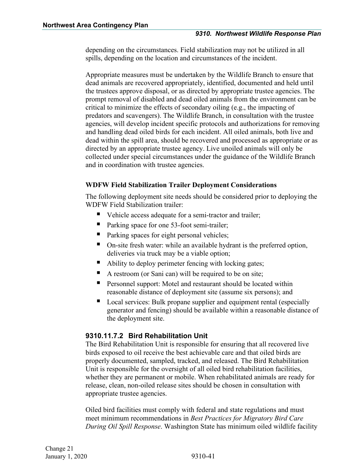depending on the circumstances. Field stabilization may not be utilized in all spills, depending on the location and circumstances of the incident.

Appropriate measures must be undertaken by the Wildlife Branch to ensure that dead animals are recovered appropriately, identified, documented and held until the trustees approve disposal, or as directed by appropriate trustee agencies. The prompt removal of disabled and dead oiled animals from the environment can be critical to minimize the effects of secondary oiling (e.g., the impacting of predators and scavengers). The Wildlife Branch, in consultation with the trustee agencies, will develop incident specific protocols and authorizations for removing and handling dead oiled birds for each incident. All oiled animals, both live and dead within the spill area, should be recovered and processed as appropriate or as directed by an appropriate trustee agency. Live unoiled animals will only be collected under special circumstances under the guidance of the Wildlife Branch and in coordination with trustee agencies.

#### **WDFW Field Stabilization Trailer Deployment Considerations**

The following deployment site needs should be considered prior to deploying the WDFW Field Stabilization trailer:

- Vehicle access adequate for a semi-tractor and trailer;
- Parking space for one 53-foot semi-trailer;
- Parking spaces for eight personal vehicles;
- On-site fresh water: while an available hydrant is the preferred option, deliveries via truck may be a viable option;
- Ability to deploy perimeter fencing with locking gates;
- A restroom (or Sani can) will be required to be on site;
- **Personnel support:** Motel and restaurant should be located within reasonable distance of deployment site (assume six persons); and
- Local services: Bulk propane supplier and equipment rental (especially generator and fencing) should be available within a reasonable distance of the deployment site.

#### <span id="page-43-0"></span>**9310.11.7.2 Bird Rehabilitation Unit**

The Bird Rehabilitation Unit is responsible for ensuring that all recovered live birds exposed to oil receive the best achievable care and that oiled birds are properly documented, sampled, tracked, and released. The Bird Rehabilitation Unit is responsible for the oversight of all oiled bird rehabilitation facilities, whether they are permanent or mobile. When rehabilitated animals are ready for release, clean, non-oiled release sites should be chosen in consultation with appropriate trustee agencies.

Oiled bird facilities must comply with federal and state regulations and must meet minimum recommendations in *Best Practices for Migratory Bird Care During Oil Spill Response*. Washington State has minimum oiled wildlife facility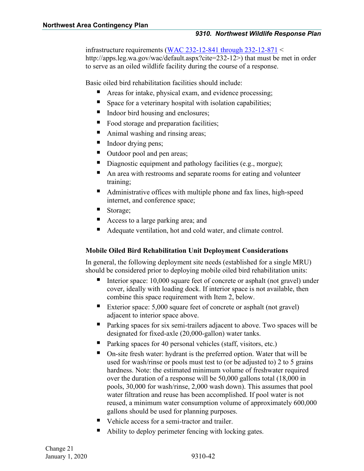infrastructure requirements [\(WAC 232-12-841 through 232-12-871](http://apps.leg.wa.gov/wac/default.aspx?cite=232-12) < http://apps.leg.wa.gov/wac/default.aspx?cite=232-12>) that must be met in order to serve as an oiled wildlife facility during the course of a response.

Basic oiled bird rehabilitation facilities should include:

- Areas for intake, physical exam, and evidence processing;
- Space for a veterinary hospital with isolation capabilities;
- Indoor bird housing and enclosures;
- Food storage and preparation facilities;
- Animal washing and rinsing areas;
- Indoor drying pens;
- Outdoor pool and pen areas;
- Diagnostic equipment and pathology facilities (e.g., morgue);
- An area with restrooms and separate rooms for eating and volunteer training;
- Administrative offices with multiple phone and fax lines, high-speed internet, and conference space;
- Storage;
- Access to a large parking area; and
- Adequate ventilation, hot and cold water, and climate control.

#### **Mobile Oiled Bird Rehabilitation Unit Deployment Considerations**

In general, the following deployment site needs (established for a single MRU) should be considered prior to deploying mobile oiled bird rehabilitation units:

- Interior space: 10,000 square feet of concrete or asphalt (not gravel) under cover, ideally with loading dock. If interior space is not available, then combine this space requirement with Item 2, below.
- Exterior space: 5,000 square feet of concrete or asphalt (not gravel) adjacent to interior space above.
- Parking spaces for six semi-trailers adjacent to above. Two spaces will be designated for fixed-axle (20,000-gallon) water tanks.
- Parking spaces for 40 personal vehicles (staff, visitors, etc.)
- On-site fresh water: hydrant is the preferred option. Water that will be used for wash/rinse or pools must test to (or be adjusted to) 2 to 5 grains hardness. Note: the estimated minimum volume of freshwater required over the duration of a response will be 50,000 gallons total (18,000 in pools, 30,000 for wash/rinse, 2,000 wash down). This assumes that pool water filtration and reuse has been accomplished. If pool water is not reused, a minimum water consumption volume of approximately 600,000 gallons should be used for planning purposes.
- Vehicle access for a semi-tractor and trailer.
- Ability to deploy perimeter fencing with locking gates.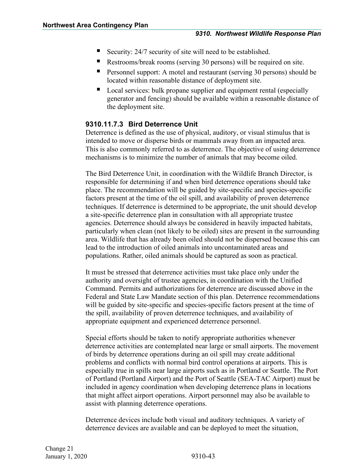- Security: 24/7 security of site will need to be established.
- Restrooms/break rooms (serving 30 persons) will be required on site.
- Personnel support: A motel and restaurant (serving 30 persons) should be located within reasonable distance of deployment site.
- Local services: bulk propane supplier and equipment rental (especially generator and fencing) should be available within a reasonable distance of the deployment site.

#### <span id="page-45-0"></span>**9310.11.7.3 Bird Deterrence Unit**

Deterrence is defined as the use of physical, auditory, or visual stimulus that is intended to move or disperse birds or mammals away from an impacted area. This is also commonly referred to as deterrence. The objective of using deterrence mechanisms is to minimize the number of animals that may become oiled.

The Bird Deterrence Unit, in coordination with the Wildlife Branch Director, is responsible for determining if and when bird deterrence operations should take place. The recommendation will be guided by site-specific and species-specific factors present at the time of the oil spill, and availability of proven deterrence techniques. If deterrence is determined to be appropriate, the unit should develop a site-specific deterrence plan in consultation with all appropriate trustee agencies. Deterrence should always be considered in heavily impacted habitats, particularly when clean (not likely to be oiled) sites are present in the surrounding area. Wildlife that has already been oiled should not be dispersed because this can lead to the introduction of oiled animals into uncontaminated areas and populations. Rather, oiled animals should be captured as soon as practical.

It must be stressed that deterrence activities must take place only under the authority and oversight of trustee agencies, in coordination with the Unified Command. Permits and authorizations for deterrence are discussed above in the Federal and State Law Mandate section of this plan. Deterrence recommendations will be guided by site-specific and species-specific factors present at the time of the spill, availability of proven deterrence techniques, and availability of appropriate equipment and experienced deterrence personnel.

Special efforts should be taken to notify appropriate authorities whenever deterrence activities are contemplated near large or small airports. The movement of birds by deterrence operations during an oil spill may create additional problems and conflicts with normal bird control operations at airports. This is especially true in spills near large airports such as in Portland or Seattle. The Port of Portland (Portland Airport) and the Port of Seattle (SEA-TAC Airport) must be included in agency coordination when developing deterrence plans in locations that might affect airport operations. Airport personnel may also be available to assist with planning deterrence operations.

Deterrence devices include both visual and auditory techniques. A variety of deterrence devices are available and can be deployed to meet the situation,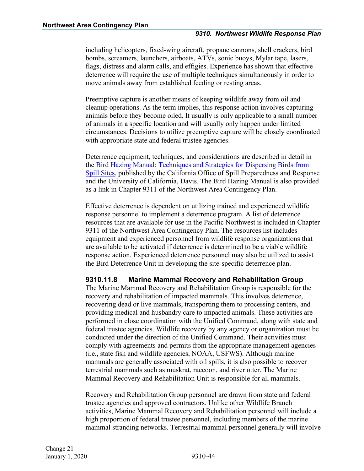including helicopters, fixed-wing aircraft, propane cannons, shell crackers, bird bombs, screamers, launchers, airboats, ATVs, sonic buoys, Mylar tape, lasers, flags, distress and alarm calls, and effigies. Experience has shown that effective deterrence will require the use of multiple techniques simultaneously in order to move animals away from established feeding or resting areas.

Preemptive capture is another means of keeping wildlife away from oil and cleanup operations. As the term implies, this response action involves capturing animals before they become oiled. It usually is only applicable to a small number of animals in a specific location and will usually only happen under limited circumstances. Decisions to utilize preemptive capture will be closely coordinated with appropriate state and federal trustee agencies.

Deterrence equipment, techniques, and considerations are described in detail in the [Bird Hazing Manual: Techniques and Strategies for Dispersing Birds from](http://www.oiledwildlife.eu/publications/bird-hazing-manual-techniques-and-strategies-dispersing-birds-spill-sites)  [Spill Sites,](http://www.oiledwildlife.eu/publications/bird-hazing-manual-techniques-and-strategies-dispersing-birds-spill-sites) published by the California Office of Spill Preparedness and Response and the University of California, Davis. The Bird Hazing Manual is also provided as a link in Chapter 9311 of the Northwest Area Contingency Plan.

Effective deterrence is dependent on utilizing trained and experienced wildlife response personnel to implement a deterrence program. A list of deterrence resources that are available for use in the Pacific Northwest is included in Chapter 9311 of the Northwest Area Contingency Plan. The resources list includes equipment and experienced personnel from wildlife response organizations that are available to be activated if deterrence is determined to be a viable wildlife response action. Experienced deterrence personnel may also be utilized to assist the Bird Deterrence Unit in developing the site-specific deterrence plan.

#### <span id="page-46-0"></span>**9310.11.8 Marine Mammal Recovery and Rehabilitation Group**

The Marine Mammal Recovery and Rehabilitation Group is responsible for the recovery and rehabilitation of impacted mammals. This involves deterrence, recovering dead or live mammals, transporting them to processing centers, and providing medical and husbandry care to impacted animals. These activities are performed in close coordination with the Unified Command, along with state and federal trustee agencies. Wildlife recovery by any agency or organization must be conducted under the direction of the Unified Command. Their activities must comply with agreements and permits from the appropriate management agencies (i.e., state fish and wildlife agencies, NOAA, USFWS). Although marine mammals are generally associated with oil spills, it is also possible to recover terrestrial mammals such as muskrat, raccoon, and river otter. The Marine Mammal Recovery and Rehabilitation Unit is responsible for all mammals.

Recovery and Rehabilitation Group personnel are drawn from state and federal trustee agencies and approved contractors. Unlike other Wildlife Branch activities, Marine Mammal Recovery and Rehabilitation personnel will include a high proportion of federal trustee personnel, including members of the marine mammal stranding networks. Terrestrial mammal personnel generally will involve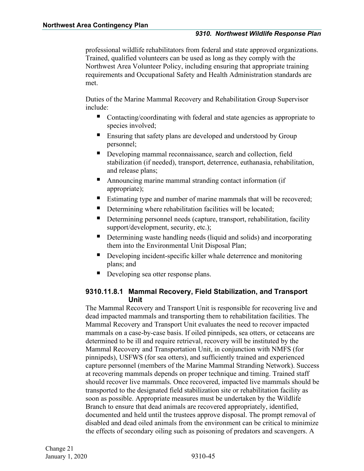professional wildlife rehabilitators from federal and state approved organizations. Trained, qualified volunteers can be used as long as they comply with the Northwest Area Volunteer Policy, including ensuring that appropriate training requirements and Occupational Safety and Health Administration standards are met.

Duties of the Marine Mammal Recovery and Rehabilitation Group Supervisor include:

- Contacting/coordinating with federal and state agencies as appropriate to species involved;
- **Ensuring that safety plans are developed and understood by Group** personnel;
- Developing mammal reconnaissance, search and collection, field stabilization (if needed), transport, deterrence, euthanasia, rehabilitation, and release plans;
- Announcing marine mammal stranding contact information (if appropriate);
- Estimating type and number of marine mammals that will be recovered;
- Determining where rehabilitation facilities will be located;
- Determining personnel needs (capture, transport, rehabilitation, facility support/development, security, etc.);
- Determining waste handling needs (liquid and solids) and incorporating them into the Environmental Unit Disposal Plan;
- Developing incident-specific killer whale deterrence and monitoring plans; and
- Developing sea otter response plans.

#### <span id="page-47-0"></span>**9310.11.8.1 Mammal Recovery, Field Stabilization, and Transport Unit**

The Mammal Recovery and Transport Unit is responsible for recovering live and dead impacted mammals and transporting them to rehabilitation facilities. The Mammal Recovery and Transport Unit evaluates the need to recover impacted mammals on a case-by-case basis. If oiled pinnipeds, sea otters, or cetaceans are determined to be ill and require retrieval, recovery will be instituted by the Mammal Recovery and Transportation Unit, in conjunction with NMFS (for pinnipeds), USFWS (for sea otters), and sufficiently trained and experienced capture personnel (members of the Marine Mammal Stranding Network). Success at recovering mammals depends on proper technique and timing. Trained staff should recover live mammals. Once recovered, impacted live mammals should be transported to the designated field stabilization site or rehabilitation facility as soon as possible. Appropriate measures must be undertaken by the Wildlife Branch to ensure that dead animals are recovered appropriately, identified, documented and held until the trustees approve disposal. The prompt removal of disabled and dead oiled animals from the environment can be critical to minimize the effects of secondary oiling such as poisoning of predators and scavengers. A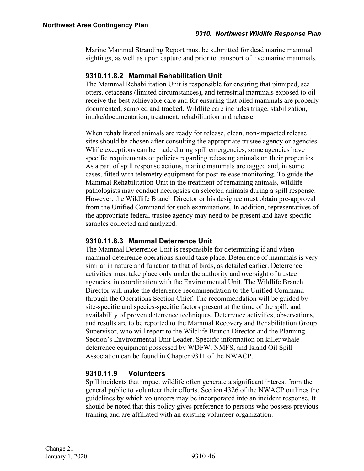Marine Mammal Stranding Report must be submitted for dead marine mammal sightings, as well as upon capture and prior to transport of live marine mammals.

#### <span id="page-48-0"></span>**9310.11.8.2 Mammal Rehabilitation Unit**

The Mammal Rehabilitation Unit is responsible for ensuring that pinniped, sea otters, cetaceans (limited circumstances), and terrestrial mammals exposed to oil receive the best achievable care and for ensuring that oiled mammals are properly documented, sampled and tracked. Wildlife care includes triage, stabilization, intake/documentation, treatment, rehabilitation and release.

When rehabilitated animals are ready for release, clean, non-impacted release sites should be chosen after consulting the appropriate trustee agency or agencies. While exceptions can be made during spill emergencies, some agencies have specific requirements or policies regarding releasing animals on their properties. As a part of spill response actions, marine mammals are tagged and, in some cases, fitted with telemetry equipment for post-release monitoring. To guide the Mammal Rehabilitation Unit in the treatment of remaining animals, wildlife pathologists may conduct necropsies on selected animals during a spill response. However, the Wildlife Branch Director or his designee must obtain pre-approval from the Unified Command for such examinations. In addition, representatives of the appropriate federal trustee agency may need to be present and have specific samples collected and analyzed.

#### <span id="page-48-1"></span>**9310.11.8.3 Mammal Deterrence Unit**

The Mammal Deterrence Unit is responsible for determining if and when mammal deterrence operations should take place. Deterrence of mammals is very similar in nature and function to that of birds, as detailed earlier. Deterrence activities must take place only under the authority and oversight of trustee agencies, in coordination with the Environmental Unit. The Wildlife Branch Director will make the deterrence recommendation to the Unified Command through the Operations Section Chief. The recommendation will be guided by site-specific and species-specific factors present at the time of the spill, and availability of proven deterrence techniques. Deterrence activities, observations, and results are to be reported to the Mammal Recovery and Rehabilitation Group Supervisor, who will report to the Wildlife Branch Director and the Planning Section's Environmental Unit Leader. Specific information on killer whale deterrence equipment possessed by WDFW, NMFS, and Island Oil Spill Association can be found in Chapter 9311 of the NWACP.

#### <span id="page-48-2"></span>**9310.11.9 Volunteers**

Spill incidents that impact wildlife often generate a significant interest from the general public to volunteer their efforts. Section 4326 of the NWACP outlines the guidelines by which volunteers may be incorporated into an incident response. It should be noted that this policy gives preference to persons who possess previous training and are affiliated with an existing volunteer organization.